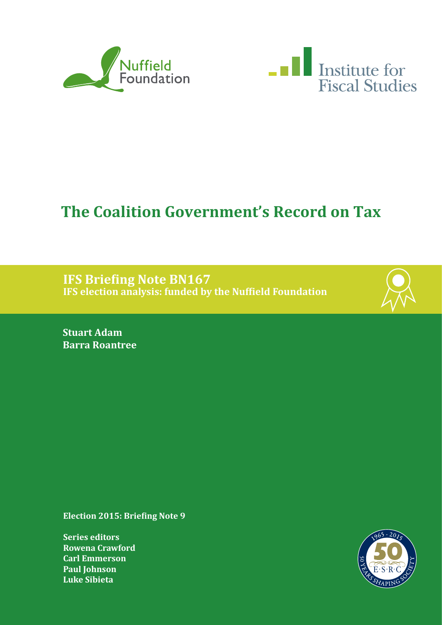



# **The Coalition Government's Record on Tax**

**IFS Briefing Note BN167 IFS election analysis: funded by the Nuffield Foundation**



**Stuart Adam Barra Roantree**

**Election 2015: Briefing Note 9**

**Series editors Rowena Crawford Carl Emmerson Paul Johnson Luke Sibieta**

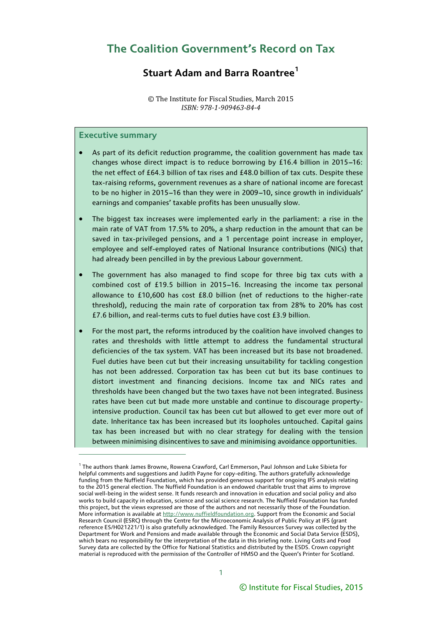## **The Coalition Government's Record on Tax**

### **Stuart Adam and Barra Roantree[1](#page-1-0)**

© The Institute for Fiscal Studies, March 2015 *ISBN: 978-1-909463-84-4*

#### **Executive summary**

- As part of its deficit reduction programme, the coalition government has made tax changes whose direct impact is to reduce borrowing by  $£16.4$  billion in 2015-16: the net effect of £64.3 billion of tax rises and £48.0 billion of tax cuts. Despite these tax-raising reforms, government revenues as a share of national income are forecast to be no higher in 2015-16 than they were in 2009-10, since growth in individuals' earnings and companies' taxable profits has been unusually slow.
- The biggest tax increases were implemented early in the parliament: a rise in the main rate of VAT from 17.5% to 20%, a sharp reduction in the amount that can be saved in tax-privileged pensions, and a 1 percentage point increase in employer, employee and self-employed rates of National Insurance contributions (NICs) that had already been pencilled in by the previous Labour government.
- The government has also managed to find scope for three big tax cuts with a combined cost of  $£19.5$  billion in 2015-16. Increasing the income tax personal allowance to £10,600 has cost £8.0 billion (net of reductions to the higher-rate threshold), reducing the main rate of corporation tax from 28% to 20% has cost £7.6 billion, and real-terms cuts to fuel duties have cost £3.9 billion.
- For the most part, the reforms introduced by the coalition have involved changes to rates and thresholds with little attempt to address the fundamental structural deficiencies of the tax system. VAT has been increased but its base not broadened. Fuel duties have been cut but their increasing unsuitability for tackling congestion has not been addressed. Corporation tax has been cut but its base continues to distort investment and financing decisions. Income tax and NICs rates and thresholds have been changed but the two taxes have not been integrated. Business rates have been cut but made more unstable and continue to discourage propertyintensive production. Council tax has been cut but allowed to get ever more out of date. Inheritance tax has been increased but its loopholes untouched. Capital gains tax has been increased but with no clear strategy for dealing with the tension between minimising disincentives to save and minimising avoidance opportunities.

<span id="page-1-0"></span> $^1$  The authors thank James Browne, Rowena Crawford, Carl Emmerson, Paul Johnson and Luke Sibieta for helpful comments and suggestions and Judith Payne for copy-editing. The authors gratefully acknowledge funding from the Nuffield Foundation, which has provided generous support for ongoing IFS analysis relating to the 2015 general election. The Nuffield Foundation is an endowed charitable trust that aims to improve social well-being in the widest sense. It funds research and innovation in education and social policy and also works to build capacity in education, science and social science research. The Nuffield Foundation has funded this project, but the views expressed are those of the authors and not necessarily those of the Foundation. More information is available a[t http://www.nuffieldfoundation.org.](http://www.nuffieldfoundation.org/) Support from the Economic and Social Research Council (ESRC) through the Centre for the Microeconomic Analysis of Public Policy at IFS (grant reference ES/H021221/1) is also gratefully acknowledged. The Family Resources Survey was collected by the Department for Work and Pensions and made available through the Economic and Social Data Service (ESDS), which bears no responsibility for the interpretation of the data in this briefing note. Living Costs and Food Survey data are collected by the Office for National Statistics and distributed by the ESDS. Crown copyright material is reproduced with the permission of the Controller of HMSO and the Queen's Printer for Scotland.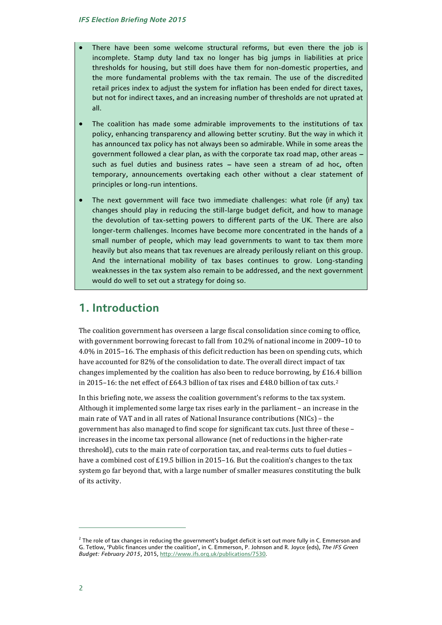- There have been some welcome structural reforms, but even there the job is incomplete. Stamp duty land tax no longer has big jumps in liabilities at price thresholds for housing, but still does have them for non-domestic properties, and the more fundamental problems with the tax remain. The use of the discredited retail prices index to adjust the system for inflation has been ended for direct taxes, but not for indirect taxes, and an increasing number of thresholds are not uprated at all.
- The coalition has made some admirable improvements to the institutions of tax policy, enhancing transparency and allowing better scrutiny. But the way in which it has announced tax policy has not always been so admirable. While in some areas the government followed a clear plan, as with the corporate tax road map, other areas -such as fuel duties and business rates  $-$  have seen a stream of ad hoc, often temporary, announcements overtaking each other without a clear statement of principles or long-run intentions.
- The next government will face two immediate challenges: what role (if any) tax changes should play in reducing the still-large budget deficit, and how to manage the devolution of tax-setting powers to different parts of the UK. There are also longer-term challenges. Incomes have become more concentrated in the hands of a small number of people, which may lead governments to want to tax them more heavily but also means that tax revenues are already perilously reliant on this group. And the international mobility of tax bases continues to grow. Long-standing weaknesses in the tax system also remain to be addressed, and the next government would do well to set out a strategy for doing so.

# **1. Introduction**

The coalition government has overseen a large fiscal consolidation since coming to office, with government borrowing forecast to fall from 10.2% of national income in 2009–10 to 4.0% in 2015–16. The emphasis of this deficit reduction has been on spending cuts, which have accounted for 82% of the consolidation to date. The overall direct impact of tax changes implemented by the coalition has also been to reduce borrowing, by £16.4 billion in [2](#page-2-0)015–16: the net effect of £64.3 billion of tax rises and £48.0 billion of tax cuts.<sup>2</sup>

In this briefing note, we assess the coalition government's reforms to the tax system. Although it implemented some large tax rises early in the parliament – an increase in the main rate of VAT and in all rates of National Insurance contributions (NICs) – the government has also managed to find scope for significant tax cuts. Just three of these – increases in the income tax personal allowance (net of reductions in the higher-rate threshold), cuts to the main rate of corporation tax, and real-terms cuts to fuel duties – have a combined cost of £19.5 billion in 2015–16. But the coalition's changes to the tax system go far beyond that, with a large number of smaller measures constituting the bulk of its activity.

<span id="page-2-0"></span> $<sup>2</sup>$  The role of tax changes in reducing the government's budget deficit is set out more fully in C. Emmerson and</sup> G. Tetlow, 'Public finances under the coalition', in C. Emmerson, P. Johnson and R. Joyce (eds), *The IFS Green Budget: February 2015*, 2015[, http://www.ifs.org.uk/publications/7530.](http://www.ifs.org.uk/publications/7530)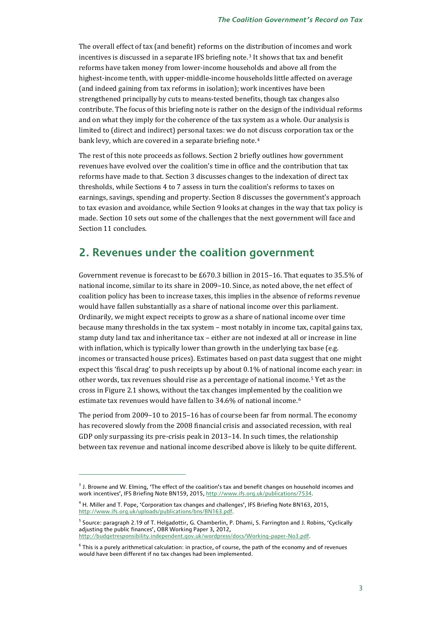The overall effect of tax (and benefit) reforms on the distribution of incomes and work incentives is discussed in a separate IFS briefing note.[3](#page-3-0) It shows that tax and benefit reforms have taken money from lower-income households and above all from the highest-income tenth, with upper-middle-income households little affected on average (and indeed gaining from tax reforms in isolation); work incentives have been strengthened principally by cuts to means-tested benefits, though tax changes also contribute. The focus of this briefing note is rather on the design of the individual reforms and on what they imply for the coherence of the tax system as a whole. Our analysis is limited to (direct and indirect) personal taxes: we do not discuss corporation tax or the bank levy, which are covered in a separate briefing note.<sup>[4](#page-3-1)</sup>

The rest of this note proceeds as follows. Section 2 briefly outlines how government revenues have evolved over the coalition's time in office and the contribution that tax reforms have made to that. Section 3 discusses changes to the indexation of direct tax thresholds, while Sections 4 to 7 assess in turn the coalition's reforms to taxes on earnings, savings, spending and property. Section 8 discusses the government's approach to tax evasion and avoidance, while Section 9 looks at changes in the way that tax policy is made. Section 10 sets out some of the challenges that the next government will face and Section 11 concludes.

### **2. Revenues under the coalition government**

Government revenue is forecast to be £670.3 billion in 2015–16. That equates to 35.5% of national income, similar to its share in 2009–10. Since, as noted above, the net effect of coalition policy has been to increase taxes, this implies in the absence of reforms revenue would have fallen substantially as a share of national income over this parliament. Ordinarily, we might expect receipts to grow as a share of national income over time because many thresholds in the tax system – most notably in income tax, capital gains tax, stamp duty land tax and inheritance tax – either are not indexed at all or increase in line with inflation, which is typically lower than growth in the underlying tax base (e.g. incomes or transacted house prices). Estimates based on past data suggest that one might expect this 'fiscal drag' to push receipts up by about 0.1% of national inco[m](#page-3-2)e each year: in other words, tax revenues should rise as a percentage of national income.5 Yet as the cross in Figure 2.1 shows, without the tax changes implemented by the coalition we estimate tax revenues would have fallen to 34.[6](#page-3-3)% of national income.<sup>6</sup>

The period from 2009–10 to 2015–16 has of course been far from normal. The economy has recovered slowly from the 2008 financial crisis and associated recession, with real GDP only surpassing its pre-crisis peak in 2013–14. In such times, the relationship between tax revenue and national income described above is likely to be quite different.

<span id="page-3-0"></span> $3$  J. Browne and W. Elming, 'The effect of the coalition's tax and benefit changes on household incomes and work incentives', IFS Briefing Note BN159, 2015[, http://www.ifs.org.uk/publications/7534.](http://www.ifs.org.uk/publications/7534)

<span id="page-3-1"></span><sup>4</sup> H. Miller and T. Pope, 'Corporation tax changes and challenges', IFS Briefing Note BN163, 2015, [http://www.ifs.org.uk/uploads/publications/bns/BN163.pdf.](http://www.ifs.org.uk/uploads/publications/bns/BN163.pdf)

<span id="page-3-2"></span><sup>5</sup> Source: paragraph 2.19 of T. Helgadottir, G. Chamberlin, P. Dhami, S. Farrington and J. Robins, 'Cyclically adjusting the public finances', OBR Working Paper 3, 2012, [http://budgetresponsibility.independent.gov.uk/wordpress/docs/Working-paper-No3.pdf.](http://budgetresponsibility.independent.gov.uk/wordpress/docs/Working-paper-No3.pdf)

<span id="page-3-3"></span> $6$  This is a purely arithmetical calculation: in practice, of course, the path of the economy and of revenues would have been different if no tax changes had been implemented.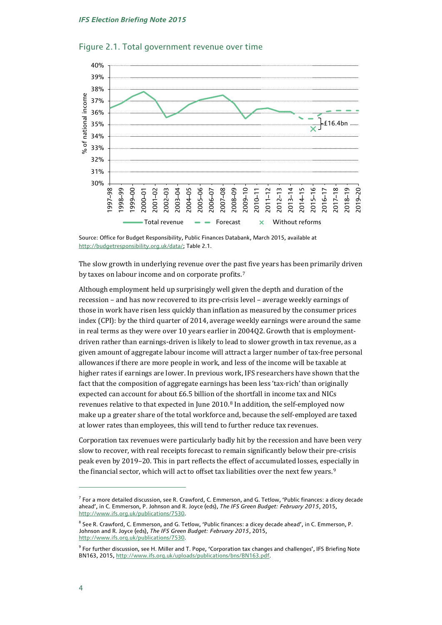

#### Figure 2.1. Total government revenue over time

Source: Office for Budget Responsibility, Public Finances Databank, March 2015, available at [http://budgetresponsibility.org.uk/data/;](http://budgetresponsibility.org.uk/data/) Table 2.1.

The slow growth in underlying revenue over the past five years has been primarily driven by taxes on labour income and on corporate profits.<sup>[7](#page-4-0)</sup>

Although employment held up surprisingly well given the depth and duration of the recession – and has now recovered to its pre-crisis level – average weekly earnings of those in work have risen less quickly than inflation as measured by the consumer prices index (CPI): by the third quarter of 2014, average weekly earnings were around the same in real terms as they were over 10 years earlier in 2004Q2. Growth that is employmentdriven rather than earnings-driven is likely to lead to slower growth in tax revenue, as a given amount of aggregate labour income will attract a larger number of tax-free personal allowances if there are more people in work, and less of the income will be taxable at higher rates if earnings are lower. In previous work, IFS researchers have shown that the fact that the composition of aggregate earnings has been less 'tax-rich' than originally expected can account for about £6.5 billion of t[he](#page-4-1) shortfall in income tax and NICs revenues relative to that expected in June 2010.8 In addition, the self-employed now make up a greater share of the total workforce and, because the self-employed are taxed at lower rates than employees, this will tend to further reduce tax revenues.

Corporation tax revenues were particularly badly hit by the recession and have been very slow to recover, with real receipts forecast to remain significantly below their pre-crisis peak even by 2019–20. This in part reflects the effect of accumulated losses, esp[ec](#page-4-2)ially in the financial sector, which will act to offset tax liabilities over the next few years.<sup>9</sup>

<span id="page-4-0"></span> $^7$  For a more detailed discussion, see R. Crawford, C. Emmerson, and G. Tetlow, 'Public finances: a dicey decade ahead', in C. Emmerson, P. Johnson and R. Joyce (eds), *The IFS Green Budget: February 2015*, 2015, [http://www.ifs.org.uk/publications/7530.](http://www.ifs.org.uk/publications/7530) 

<span id="page-4-1"></span><sup>&</sup>lt;sup>8</sup> See R. Crawford, C. Emmerson, and G. Tetlow, 'Public finances: a dicey decade ahead', in C. Emmerson, P. Johnson and R. Joyce (eds), *The IFS Green Budget: February 2015*, 2015, [http://www.ifs.org.uk/publications/7530.](http://www.ifs.org.uk/publications/7530)

<span id="page-4-2"></span><sup>&</sup>lt;sup>9</sup> For further discussion, see H. Miller and T. Pope, 'Corporation tax changes and challenges', IFS Briefing Note BN163, 2015[, http://www.ifs.org.uk/uploads/publications/bns/BN163.pdf.](http://www.ifs.org.uk/uploads/publications/bns/BN163.pdf)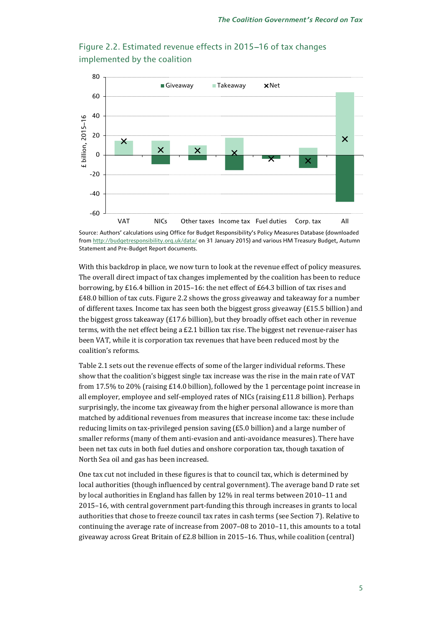

### Figure 2.2. Estimated revenue effects in 2015-16 of tax changes implemented by the coalition

Source: Authors' calculations using Office for Budget Responsibility's Policy Measures Database (downloaded from <http://budgetresponsibility.org.uk/data/> on 31 January 2015) and various HM Treasury Budget, Autumn Statement and Pre-Budget Report documents.

With this backdrop in place, we now turn to look at the revenue effect of policy measures. The overall direct impact of tax changes implemented by the coalition has been to reduce borrowing, by £16.4 billion in 2015–16: the net effect of £64.3 billion of tax rises and £48.0 billion of tax cuts. Figure 2.2 shows the gross giveaway and takeaway for a number of different taxes. Income tax has seen both the biggest gross giveaway (£15.5 billion) and the biggest gross takeaway (£17.6 billion), but they broadly offset each other in revenue terms, with the net effect being a £2.1 billion tax rise. The biggest net revenue-raiser has been VAT, while it is corporation tax revenues that have been reduced most by the coalition's reforms.

Table 2.1 sets out the revenue effects of some of the larger individual reforms. These show that the coalition's biggest single tax increase was the rise in the main rate of VAT from 17.5% to 20% (raising £14.0 billion), followed by the 1 percentage point increase in all employer, employee and self-employed rates of NICs (raising £11.8 billion). Perhaps surprisingly, the income tax giveaway from the higher personal allowance is more than matched by additional revenues from measures that increase income tax: these include reducing limits on tax-privileged pension saving (£5.0 billion) and a large number of smaller reforms (many of them anti-evasion and anti-avoidance measures). There have been net tax cuts in both fuel duties and onshore corporation tax, though taxation of North Sea oil and gas has been increased.

One tax cut not included in these figures is that to council tax, which is determined by local authorities (though influenced by central government). The average band D rate set by local authorities in England has fallen by 12% in real terms between 2010–11 and 2015–16, with central government part-funding this through increases in grants to local authorities that chose to freeze council tax rates in cash terms (see Section 7). Relative to continuing the average rate of increase from 2007–08 to 2010–11, this amounts to a total giveaway across Great Britain of £2.8 billion in 2015–16. Thus, while coalition (central)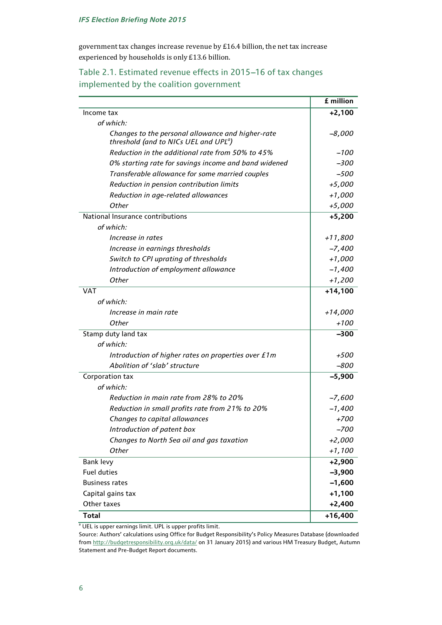government tax changes increase revenue by £16.4 billion, the net tax increase experienced by households is only £13.6 billion.

### Table 2.1. Estimated revenue effects in 2015-16 of tax changes implemented by the coalition government

|                                                                                                      | £ million |
|------------------------------------------------------------------------------------------------------|-----------|
| Income tax                                                                                           | $+2,100$  |
| of which:                                                                                            |           |
| Changes to the personal allowance and higher-rate<br>threshold (and to NICs UEL and UPL $^{\circ}$ ) | $-8,000$  |
| Reduction in the additional rate from 50% to 45%                                                     | $-100$    |
| 0% starting rate for savings income and band widened                                                 | $-300$    |
| Transferable allowance for some married couples                                                      | $-500$    |
| Reduction in pension contribution limits                                                             | +5,000    |
| Reduction in age-related allowances                                                                  | +1,000    |
| <b>Other</b>                                                                                         | $+5,000$  |
| National Insurance contributions                                                                     | $+5,200$  |
| of which:                                                                                            |           |
| Increase in rates                                                                                    | +11,800   |
| Increase in earnings thresholds                                                                      | $-7,400$  |
| Switch to CPI uprating of thresholds                                                                 | $+1,000$  |
| Introduction of employment allowance                                                                 | $-1,400$  |
| <b>Other</b>                                                                                         | $+1,200$  |
| <b>VAT</b>                                                                                           | $+14,100$ |
| of which:                                                                                            |           |
| Increase in main rate                                                                                | +14,000   |
| <b>Other</b>                                                                                         | $+100$    |
| Stamp duty land tax                                                                                  | $-300$    |
| of which:                                                                                            |           |
| Introduction of higher rates on properties over £1m                                                  | +500      |
| Abolition of 'slab' structure                                                                        | $-800$    |
| Corporation tax                                                                                      | $-5,900$  |
| of which:                                                                                            |           |
| Reduction in main rate from 28% to 20%                                                               | -7,600    |
| Reduction in small profits rate from 21% to 20%                                                      | $-1,400$  |
| Changes to capital allowances                                                                        | $+700$    |
| Introduction of patent box                                                                           | -700      |
| Changes to North Sea oil and gas taxation                                                            | +2,000    |
| <b>Other</b>                                                                                         | $+1,100$  |
| <b>Bank levy</b>                                                                                     | $+2,900$  |
| <b>Fuel duties</b>                                                                                   | $-3,900$  |
| <b>Business rates</b>                                                                                | $-1,600$  |
| Capital gains tax                                                                                    | $+1,100$  |
| Other taxes                                                                                          | $+2,400$  |
| <b>Total</b>                                                                                         | $+16,400$ |

<sup>a</sup> UEL is upper earnings limit. UPL is upper profits limit.

Source: Authors' calculations using Office for Budget Responsibility's Policy Measures Database (downloaded from <http://budgetresponsibility.org.uk/data/> on 31 January 2015) and various HM Treasury Budget, Autumn Statement and Pre-Budget Report documents.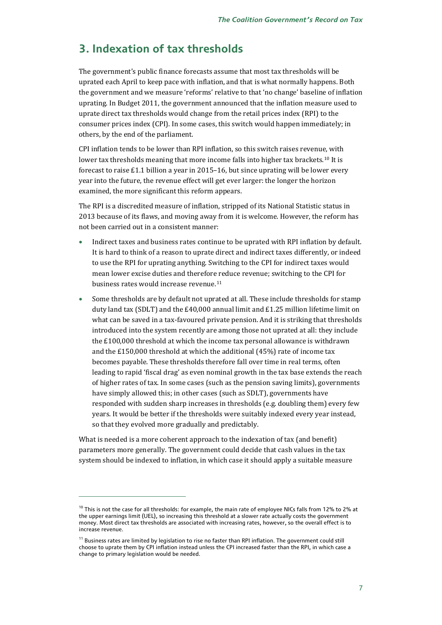# **3. Indexation of tax thresholds**

The government's public finance forecasts assume that most tax thresholds will be uprated each April to keep pace with inflation, and that is what normally happens. Both the government and we measure 'reforms' relative to that 'no change' baseline of inflation uprating. In Budget 2011, the government announced that the inflation measure used to uprate direct tax thresholds would change from the retail prices index (RPI) to the consumer prices index (CPI). In some cases, this switch would happen immediately; in others, by the end of the parliament.

CPI inflation tends to be lower than RPI inflation, so this switch raises revenue, with lower tax thresholds meaning that more income falls into higher tax brackets.<sup>[10](#page-7-0)</sup> It is forecast to raise  $£1.1$  billion a year in 2015–16, but since uprating will be lower every year into the future, the revenue effect will get ever larger: the longer the horizon examined, the more significant this reform appears.

The RPI is a discredited measure of inflation, stripped of its National Statistic status in 2013 because of its flaws, and moving away from it is welcome. However, the reform has not been carried out in a consistent manner:

- Indirect taxes and business rates continue to be uprated with RPI inflation by default. It is hard to think of a reason to uprate direct and indirect taxes differently, or indeed to use the RPI for uprating anything. Switching to the CPI for indirect taxes would mean lower excise duties and therefore reduce revenue; switching to the CPI for business rates would increase revenue.[11](#page-7-1)
- Some thresholds are by default not uprated at all. These include thresholds for stamp duty land tax (SDLT) and the  $E40,000$  annual limit and  $E1.25$  million lifetime limit on what can be saved in a tax-favoured private pension. And it is striking that thresholds introduced into the system recently are among those not uprated at all: they include the £100,000 threshold at which the income tax personal allowance is withdrawn and the £150,000 threshold at which the additional (45%) rate of income tax becomes payable. These thresholds therefore fall over time in real terms, often leading to rapid 'fiscal drag' as even nominal growth in the tax base extends the reach of higher rates of tax. In some cases (such as the pension saving limits), governments have simply allowed this; in other cases (such as SDLT), governments have responded with sudden sharp increases in thresholds (e.g. doubling them) every few years. It would be better if the thresholds were suitably indexed every year instead, so that they evolved more gradually and predictably.

What is needed is a more coherent approach to the indexation of tax (and benefit) parameters more generally. The government could decide that cash values in the tax system should be indexed to inflation, in which case it should apply a suitable measure

<span id="page-7-0"></span> $^{10}$  This is not the case for all thresholds: for example, the main rate of employee NICs falls from 12% to 2% at the upper earnings limit (UEL), so increasing this threshold at a slower rate actually costs the government money. Most direct tax thresholds are associated with increasing rates, however, so the overall effect is to increase revenue.

<span id="page-7-1"></span><sup>&</sup>lt;sup>11</sup> Business rates are limited by legislation to rise no faster than RPI inflation. The government could still choose to uprate them by CPI inflation instead unless the CPI increased faster than the RPI, in which case a change to primary legislation would be needed.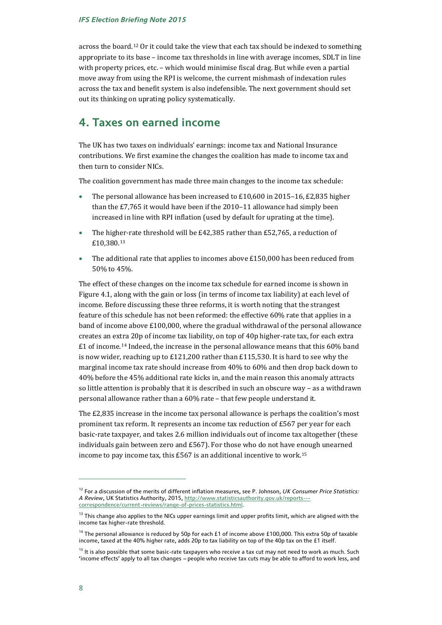across the board.[12](#page-8-0) Or it could take the view that each tax should be indexed to something appropriate to its base – income tax thresholds in line with average incomes, SDLT in line with property prices, etc. – which would minimise fiscal drag. But while even a partial move away from using the RPI is welcome, the current mishmash of indexation rules across the tax and benefit system is also indefensible. The next government should set out its thinking on uprating policy systematically.

# **4. Taxes on earned income**

The UK has two taxes on individuals' earnings: income tax and National Insurance contributions. We first examine the changes the coalition has made to income tax and then turn to consider NICs.

The coalition government has made three main changes to the income tax schedule:

- The personal allowance has been increased to £10,600 in 2015–16, £2,835 higher than the £7,765 it would have been if the 2010–11 allowance had simply been increased in line with RPI inflation (used by default for uprating at the time).
- The higher-rate threshold will be £42,385 rather than £52,765, a reduction of £10,380.[13](#page-8-1)
- The additional rate that applies to incomes above £150,000 has been reduced from 50% to 45%.

The effect of these changes on the income tax schedule for earned income is shown in Figure 4.1, along with the gain or loss (in terms of income tax liability) at each level of income. Before discussing these three reforms, it is worth noting that the strangest feature of this schedule has not been reformed: the effective 60% rate that applies in a band of income above £100,000, where the gradual withdrawal of the personal allowance creates an extra 20p of income tax liability, on top of 40p higher-rate tax, for each extra  $£1$  of income.<sup>[14](#page-8-2)</sup> Indeed, the increase in the personal allowance means that this 60% band is now wider, reaching up to £121,200 rather than £115,530. It is hard to see why the marginal income tax rate should increase from 40% to 60% and then drop back down to 40% before the 45% additional rate kicks in, and the main reason this anomaly attracts so little attention is probably that it is described in such an obscure way – as a withdrawn personal allowance rather than a 60% rate – that few people understand it.

The £2,835 increase in the income tax personal allowance is perhaps the coalition's most prominent tax reform. It represents an income tax reduction of £567 per year for each basic-rate taxpayer, and takes 2.6 million individuals out of income tax altogether (these individuals gain between zero and £567). For those who do not have enough unearned income to pay income tax, this £567 is an additional incentive to work.[15](#page-8-3)

<span id="page-8-0"></span><sup>12</sup> For a discussion of the merits of different inflation measures, see P. Johnson, *UK Consumer Price Statistics: A Review*, UK Statistics Authority, 2015[, http://www.statisticsauthority.gov.uk/reports--](http://www.statisticsauthority.gov.uk/reports---correspondence/current-reviews/range-of-prices-statistics.html) [correspondence/current-reviews/range-of-prices-statistics.html.](http://www.statisticsauthority.gov.uk/reports---correspondence/current-reviews/range-of-prices-statistics.html)

<span id="page-8-1"></span> $13$  This change also applies to the NICs upper earnings limit and upper profits limit, which are aligned with the income tax higher-rate threshold.

<span id="page-8-2"></span><sup>&</sup>lt;sup>14</sup> The personal allowance is reduced by 50p for each £1 of income above £100,000. This extra 50p of taxable income, taxed at the 40% higher rate, adds 20p to tax liability on top of the 40p tax on the £1 itself.

<span id="page-8-3"></span><sup>&</sup>lt;sup>15</sup> It is also possible that some basic-rate taxpayers who receive a tax cut may not need to work as much. Such 'income effects' apply to all tax changes - people who receive tax cuts may be able to afford to work less, and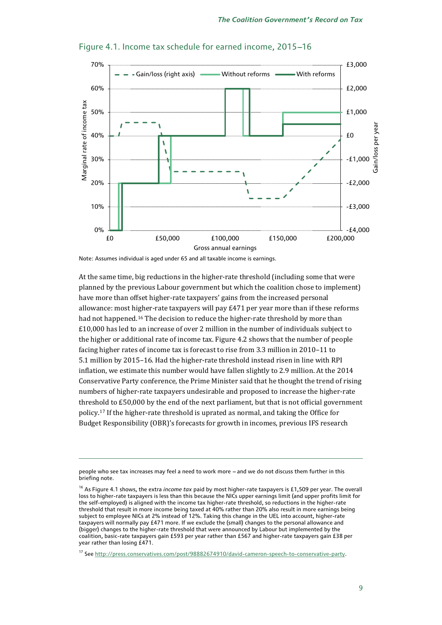

Figure 4.1. Income tax schedule for earned income, 2015-16

Note: Assumes individual is aged under 65 and all taxable income is earnings.

At the same time, big reductions in the higher-rate threshold (including some that were planned by the previous Labour government but which the coalition chose to implement) have more than offset higher-rate taxpayers' gains from the increased personal allowance: most higher-rate taxpayers will pay  $E$ 471 per year more than if these reforms had not happened.<sup>[16](#page-9-0)</sup> The decision to reduce the higher-rate threshold by more than £10,000 has led to an increase of over 2 million in the number of individuals subject to the higher or additional rate of income tax. Figure 4.2 shows that the number of people facing higher rates of income tax is forecast to rise from 3.3 million in 2010–11 to 5.1 million by 2015–16. Had the higher-rate threshold instead risen in line with RPI inflation, we estimate this number would have fallen slightly to 2.9 million. At the 2014 Conservative Party conference, the Prime Minister said that he thought the trend of rising numbers of higher-rate taxpayers undesirable and proposed to increase the higher-rate threshold to £50,000 by the end of the next parliament, but that is not official government policy.[17](#page-9-1) If the higher-rate threshold is uprated as normal, and taking the Office for Budget Responsibility (OBR)'s forecasts for growth in incomes, previous IFS research

people who see tax increases may feel a need to work more - and we do not discuss them further in this briefing note.

<span id="page-9-0"></span><sup>16</sup> As Figure 4.1 shows, the extra *income tax* paid by most higher-rate taxpayers is £1,509 per year. The overall loss to higher-rate taxpayers is less than this because the NICs upper earnings limit (and upper profits limit for the self-employed) is aligned with the income tax higher-rate threshold, so reductions in the higher-rate threshold that result in more income being taxed at 40% rather than 20% also result in more earnings being subject to employee NICs at 2% instead of 12%. Taking this change in the UEL into account, higher-rate taxpayers will normally pay £471 more. If we exclude the (small) changes to the personal allowance and (bigger) changes to the higher-rate threshold that were announced by Labour but implemented by the coalition, basic-rate taxpayers gain £593 per year rather than £567 and higher-rate taxpayers gain £38 per year rather than losing £471.

<span id="page-9-1"></span><sup>&</sup>lt;sup>17</sup> Se[e http://press.conservatives.com/post/98882674910/david-cameron-speech-to-conservative-party.](http://press.conservatives.com/post/98882674910/david-cameron-speech-to-conservative-party)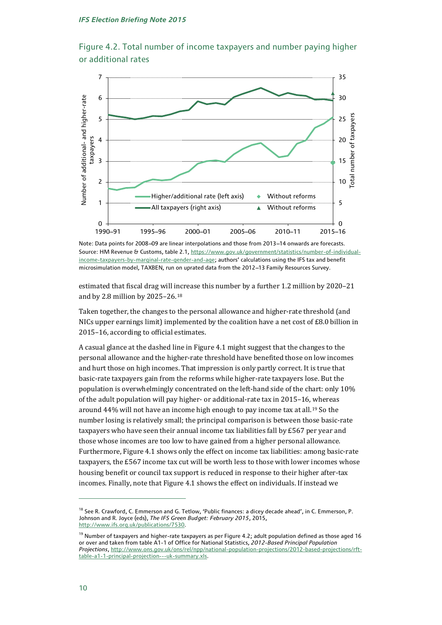

### Figure 4.2. Total number of income taxpayers and number paying higher or additional rates

Note: Data points for 2008-09 are linear interpolations and those from 2013-14 onwards are forecasts. Source: HM Revenue & Customs, table 2.1, [https://www.gov.uk/government/statistics/number-of-individual](https://www.gov.uk/government/statistics/number-of-individual-income-taxpayers-by-marginal-rate-gender-and-age)[income-taxpayers-by-marginal-rate-gender-and-age;](https://www.gov.uk/government/statistics/number-of-individual-income-taxpayers-by-marginal-rate-gender-and-age) authors' calculations using the IFS tax and benefit microsimulation model, TAXBEN, run on uprated data from the 2012-13 Family Resources Survey.

estimated that fiscal drag will increase this number by a further 1.2 million by 2020–21 and by 2.8 million by 2025–26.[18](#page-10-0)

Taken together, the changes to the personal allowance and higher-rate threshold (and NICs upper earnings limit) implemented by the coalition have a net cost of £8.0 billion in 2015–16, according to official estimates.

A casual glance at the dashed line in Figure 4.1 might suggest that the changes to the personal allowance and the higher-rate threshold have benefited those on low incomes and hurt those on high incomes. That impression is only partly correct. It is true that basic-rate taxpayers gain from the reforms while higher-rate taxpayers lose. But the population is overwhelmingly concentrated on the left-hand side of the chart: only 10% of the adult population will pay higher- or additional-rate tax in 2015–16, whereas around 44% will not have an income high enough to pay income tax at all.[19](#page-10-1) So the number losing is relatively small; the principal comparison is between those basic-rate taxpayers who have seen their annual income tax liabilities fall by £567 per year and those whose incomes are too low to have gained from a higher personal allowance. Furthermore, Figure 4.1 shows only the effect on income tax liabilities: among basic-rate taxpayers, the £567 income tax cut will be worth less to those with lower incomes whose housing benefit or council tax support is reduced in response to their higher after-tax incomes. Finally, note that Figure 4.1 shows the effect on individuals. If instead we

<span id="page-10-0"></span><sup>&</sup>lt;sup>18</sup> See R. Crawford, C. Emmerson and G. Tetlow, 'Public finances: a dicey decade ahead', in C. Emmerson, P. Johnson and R. Joyce (eds), *The IFS Green Budget: February 2015*, 2015, [http://www.ifs.org.uk/publications/7530.](http://www.ifs.org.uk/publications/7530)

<span id="page-10-1"></span> $19$  Number of taxpayers and higher-rate taxpayers as per Figure 4.2; adult population defined as those aged 16 or over and taken from table A1-1 of Office for National Statistics, *2012-Based Principal Population Projections*[, http://www.ons.gov.uk/ons/rel/npp/national-population-projections/2012-based-projections/rft](http://www.ons.gov.uk/ons/rel/npp/national-population-projections/2012-based-projections/rft-table-a1-1-principal-projection---uk-summary.xls)[table-a1-1-principal-projection---uk-summary.xls.](http://www.ons.gov.uk/ons/rel/npp/national-population-projections/2012-based-projections/rft-table-a1-1-principal-projection---uk-summary.xls)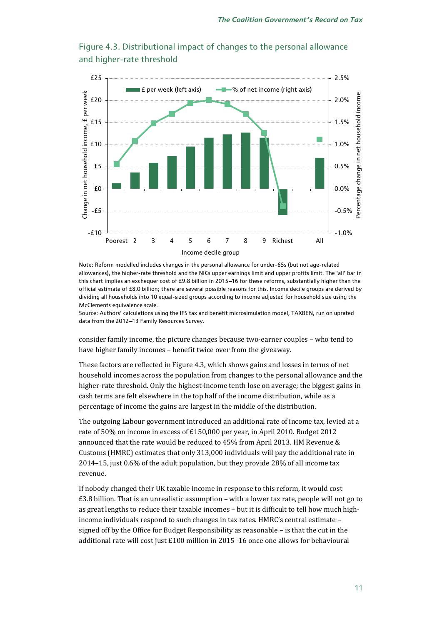

Figure 4.3. Distributional impact of changes to the personal allowance and higher-rate threshold

Note: Reform modelled includes changes in the personal allowance for under-65s (but not age-related allowances), the higher-rate threshold and the NICs upper earnings limit and upper profits limit. The 'all' bar in this chart implies an exchequer cost of £9.8 billion in 2015-16 for these reforms, substantially higher than the official estimate of £8.0 billion; there are several possible reasons for this. Income decile groups are derived by dividing all households into 10 equal-sized groups according to income adjusted for household size using the McClements equivalence scale.

Source: Authors' calculations using the IFS tax and benefit microsimulation model, TAXBEN, run on uprated data from the 2012-13 Family Resources Survey.

consider family income, the picture changes because two-earner couples – who tend to have higher family incomes – benefit twice over from the giveaway.

These factors are reflected in Figure 4.3, which shows gains and losses in terms of net household incomes across the population from changes to the personal allowance and the higher-rate threshold. Only the highest-income tenth lose on average; the biggest gains in cash terms are felt elsewhere in the top half of the income distribution, while as a percentage of income the gains are largest in the middle of the distribution.

The outgoing Labour government introduced an additional rate of income tax, levied at a rate of 50% on income in excess of £150,000 per year, in April 2010. Budget 2012 announced that the rate would be reduced to 45% from April 2013. HM Revenue & Customs (HMRC) estimates that only 313,000 individuals will pay the additional rate in 2014–15, just 0.6% of the adult population, but they provide 28% of all income tax revenue.

If nobody changed their UK taxable income in response to this reform, it would cost £3.8 billion. That is an unrealistic assumption – with a lower tax rate, people will not go to as great lengths to reduce their taxable incomes – but it is difficult to tell how much highincome individuals respond to such changes in tax rates. HMRC's central estimate – signed off by the Office for Budget Responsibility as reasonable – is that the cut in the additional rate will cost just £100 million in 2015–16 once one allows for behavioural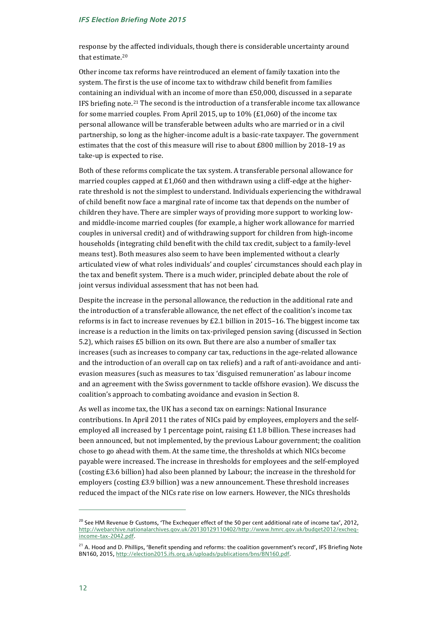response by the affected individuals, though there is considerable uncertainty around that estimate.[20](#page-12-0)

Other income tax reforms have reintroduced an element of family taxation into the system. The first is the use of income tax to withdraw child benefit from families containing an individual with an income of more than £50,000, discussed in a separate IFS briefing note.[21](#page-12-1) The second is the introduction of a transferable income tax allowance for some married couples. From April 2015, up to  $10\%$  (£1,060) of the income tax personal allowance will be transferable between adults who are married or in a civil partnership, so long as the higher-income adult is a basic-rate taxpayer. The government estimates that the cost of this measure will rise to about £800 million by 2018–19 as take-up is expected to rise.

Both of these reforms complicate the tax system. A transferable personal allowance for married couples capped at  $£1,060$  and then withdrawn using a cliff-edge at the higherrate threshold is not the simplest to understand. Individuals experiencing the withdrawal of child benefit now face a marginal rate of income tax that depends on the number of children they have. There are simpler ways of providing more support to working lowand middle-income married couples (for example, a higher work allowance for married couples in universal credit) and of withdrawing support for children from high-income households (integrating child benefit with the child tax credit, subject to a family-level means test). Both measures also seem to have been implemented without a clearly articulated view of what roles individuals' and couples' circumstances should each play in the tax and benefit system. There is a much wider, principled debate about the role of joint versus individual assessment that has not been had.

Despite the increase in the personal allowance, the reduction in the additional rate and the introduction of a transferable allowance, the net effect of the coalition's income tax reforms is in fact to increase revenues by  $E2.1$  billion in 2015–16. The biggest income tax increase is a reduction in the limits on tax-privileged pension saving (discussed in Section 5.2), which raises £5 billion on its own. But there are also a number of smaller tax increases (such as increases to company car tax, reductions in the age-related allowance and the introduction of an overall cap on tax reliefs) and a raft of anti-avoidance and antievasion measures (such as measures to tax 'disguised remuneration' as labour income and an agreement with the Swiss government to tackle offshore evasion). We discuss the coalition's approach to combating avoidance and evasion in Section 8.

As well as income tax, the UK has a second tax on earnings: National Insurance contributions. In April 2011 the rates of NICs paid by employees, employers and the selfemployed all increased by 1 percentage point, raising £11.8 billion. These increases had been announced, but not implemented, by the previous Labour government; the coalition chose to go ahead with them. At the same time, the thresholds at which NICs become payable were increased. The increase in thresholds for employees and the self-employed (costing £3.6 billion) had also been planned by Labour; the increase in the threshold for employers (costing £3.9 billion) was a new announcement. These threshold increases reduced the impact of the NICs rate rise on low earners. However, the NICs thresholds

<span id="page-12-0"></span><sup>&</sup>lt;sup>20</sup> See HM Revenue & Customs, 'The Exchequer effect of the 50 per cent additional rate of income tax', 2012, [http://webarchive.nationalarchives.gov.uk/20130129110402/http://www.hmrc.gov.uk/budget2012/excheq](http://webarchive.nationalarchives.gov.uk/20130129110402/http:/www.hmrc.gov.uk/budget2012/excheq-income-tax-2042.pdf)[income-tax-2042.pdf.](http://webarchive.nationalarchives.gov.uk/20130129110402/http:/www.hmrc.gov.uk/budget2012/excheq-income-tax-2042.pdf)

<span id="page-12-1"></span><sup>&</sup>lt;sup>21</sup> A. Hood and D. Phillips, 'Benefit spending and reforms: the coalition government's record', IFS Briefing Note BN160, 2015[, http://election2015.ifs.org.uk/uploads/publications/bns/BN160.pdf.](http://election2015.ifs.org.uk/uploads/publications/bns/BN160.pdf)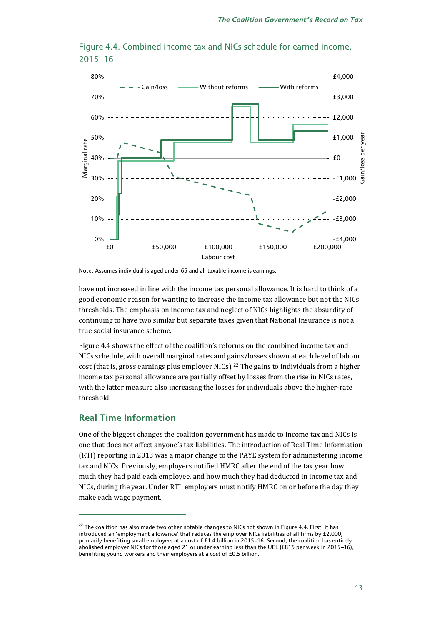

Figure 4.4. Combined income tax and NICs schedule for earned income,  $2015 - 16$ 

have not increased in line with the income tax personal allowance. It is hard to think of a good economic reason for wanting to increase the income tax allowance but not the NICs thresholds. The emphasis on income tax and neglect of NICs highlights the absurdity of continuing to have two similar but separate taxes given that National Insurance is not a true social insurance scheme.

Figure 4.4 shows the effect of the coalition's reforms on the combined income tax and NICs schedule, with overall marginal rates and gains/losses shown at each level of labour cost (that is, gross earnings plus employer NICs).[22](#page-13-0) The gains to individuals from a higher income tax personal allowance are partially offset by losses from the rise in NICs rates, with the latter measure also increasing the losses for individuals above the higher-rate threshold.

### **Real Time Information**

j

One of the biggest changes the coalition government has made to income tax and NICs is one that does not affect anyone's tax liabilities. The introduction of Real Time Information (RTI) reporting in 2013 was a major change to the PAYE system for administering income tax and NICs. Previously, employers notified HMRC after the end of the tax year how much they had paid each employee, and how much they had deducted in income tax and NICs, during the year. Under RTI, employers must notify HMRC on or before the day they make each wage payment.

Note: Assumes individual is aged under 65 and all taxable income is earnings.

<span id="page-13-0"></span> $22$  The coalition has also made two other notable changes to NICs not shown in Figure 4.4. First, it has introduced an 'employment allowance' that reduces the employer NICs liabilities of all firms by £2,000, primarily benefiting small employers at a cost of £1.4 billion in 2015-16. Second, the coalition has entirely abolished employer NICs for those aged 21 or under earning less than the UEL (£815 per week in 2015-16), benefiting young workers and their employers at a cost of £0.5 billion.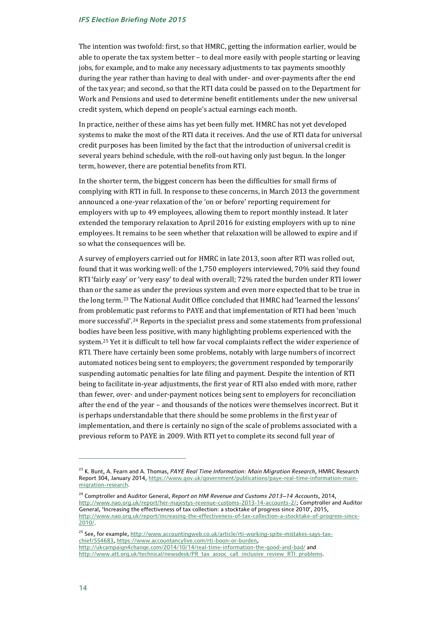The intention was twofold: first, so that HMRC, getting the information earlier, would be able to operate the tax system better – to deal more easily with people starting or leaving jobs, for example, and to make any necessary adjustments to tax payments smoothly during the year rather than having to deal with under- and over-payments after the end of the tax year; and second, so that the RTI data could be passed on to the Department for Work and Pensions and used to determine benefit entitlements under the new universal credit system, which depend on people's actual earnings each month.

In practice, neither of these aims has yet been fully met. HMRC has not yet developed systems to make the most of the RTI data it receives. And the use of RTI data for universal credit purposes has been limited by the fact that the introduction of universal credit is several years behind schedule, with the roll-out having only just begun. In the longer term, however, there are potential benefits from RTI.

In the shorter term, the biggest concern has been the difficulties for small firms of complying with RTI in full. In response to these concerns, in March 2013 the government announced a one-year relaxation of the 'on or before' reporting requirement for employers with up to 49 employees, allowing them to report monthly instead. It later extended the temporary relaxation to April 2016 for existing employers with up to nine employees. It remains to be seen whether that relaxation will be allowed to expire and if so what the consequences will be.

A survey of employers carried out for HMRC in late 2013, soon after RTI was rolled out, found that it was working well: of the 1,750 employers interviewed, 70% said they found RTI 'fairly easy' or 'very easy' to deal with overall; 72% rated the burden under RTI lower than or the sa[me](#page-14-0) as under the previous system and even more expected that to be true in the long term.23 The National Audit Office concluded that HMRC had 'learned the lessons' from problematic past reforms to PAYE and that implementation of RTI had been 'much more successful'.[24](#page-14-1) Reports in the specialist press and some statements from professional bodies have been less positive, with many highlighting problems experienced with the system.[25](#page-14-2) Yet it is difficult to tell how far vocal complaints reflect the wider experience of RTI. There have certainly been some problems, notably with large numbers of incorrect automated notices being sent to employers; the government responded by temporarily suspending automatic penalties for late filing and payment. Despite the intention of RTI being to facilitate in-year adjustments, the first year of RTI also ended with more, rather than fewer, over- and under-payment notices being sent to employers for reconciliation after the end of the year – and thousands of the notices were themselves incorrect. But it is perhaps understandable that there should be some problems in the first year of implementation, and there is certainly no sign of the scale of problems associated with a previous reform to PAYE in 2009. With RTI yet to complete its second full year of

<span id="page-14-0"></span><sup>23</sup> K. Bunt, A. Fearn and A. Thomas, *PAYE Real Time Information: Main Migration Research*, HMRC Research Report 304, January 2014[, https://www.gov.uk/government/publications/paye-real-time-information-main](https://www.gov.uk/government/publications/paye-real-time-information-main-migration-research)[migration-research.](https://www.gov.uk/government/publications/paye-real-time-information-main-migration-research) 

<span id="page-14-1"></span><sup>24</sup> Comptroller and Auditor General, *Report on HM Revenue and Customs 2013--14 Accounts*, 2014, [http://www.nao.org.uk/report/her-majestys-revenue-customs-2013-14-accounts-2/;](http://www.nao.org.uk/report/her-majestys-revenue-customs-2013-14-accounts-2/) Comptroller and Auditor General, 'Increasing the effectiveness of tax collection: a stocktake of progress since 2010', 2015, [http://www.nao.org.uk/report/increasing-the-effectiveness-of-tax-collection-a-stocktake-of-progress-since-](http://www.nao.org.uk/report/increasing-the-effectiveness-of-tax-collection-a-stocktake-of-progress-since-2010/)[2010/.](http://www.nao.org.uk/report/increasing-the-effectiveness-of-tax-collection-a-stocktake-of-progress-since-2010/)

<span id="page-14-2"></span><sup>&</sup>lt;sup>25</sup> See, for example, [http://www.accountingweb.co.uk/article/rti-working-spite-mistakes-says-tax](http://www.accountingweb.co.uk/article/rti-working-spite-mistakes-says-tax-chief/554683)[chief/554683,](http://www.accountingweb.co.uk/article/rti-working-spite-mistakes-says-tax-chief/554683) [https://www.accountancylive.com/rti-boon-or-burden,](https://www.accountancylive.com/rti-boon-or-burden) <http://ukcampaign4change.com/2014/10/14/real-time-information-the-good-and-bad/> and http://www.att.org.uk/technical/newsdesk/PR\_tax\_assoc\_call\_inclusive\_review\_RTI\_problems.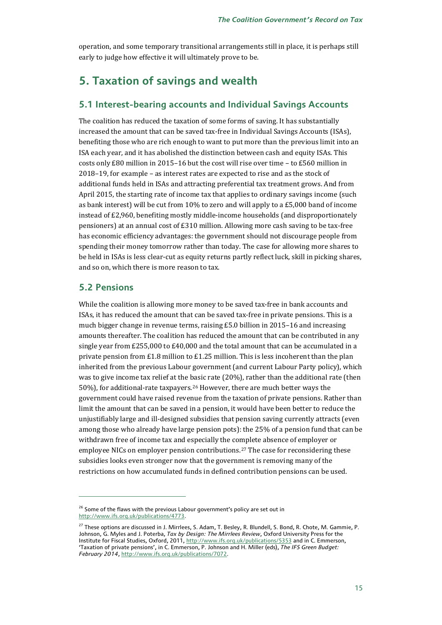operation, and some temporary transitional arrangements still in place, it is perhaps still early to judge how effective it will ultimately prove to be.

# **5. Taxation of savings and wealth**

### **5.1 Interest-bearing accounts and Individual Savings Accounts**

The coalition has reduced the taxation of some forms of saving. It has substantially increased the amount that can be saved tax-free in Individual Savings Accounts (ISAs), benefiting those who are rich enough to want to put more than the previous limit into an ISA each year, and it has abolished the distinction between cash and equity ISAs. This costs only £80 million in 2015–16 but the cost will rise over time – to £560 million in 2018–19, for example – as interest rates are expected to rise and as the stock of additional funds held in ISAs and attracting preferential tax treatment grows. And from April 2015, the starting rate of income tax that applies to ordinary savings income (such as bank interest) will be cut from 10% to zero and will apply to a £5,000 band of income instead of £2,960, benefiting mostly middle-income households (and disproportionately pensioners) at an annual cost of £310 million. Allowing more cash saving to be tax-free has economic efficiency advantages: the government should not discourage people from spending their money tomorrow rather than today. The case for allowing more shares to be held in ISAs is less clear-cut as equity returns partly reflect luck, skill in picking shares, and so on, which there is more reason to tax.

### **5.2 Pensions**

j

While the coalition is allowing more money to be saved tax-free in bank accounts and ISAs, it has reduced the amount that can be saved tax-free in private pensions. This is a much bigger change in revenue terms, raising  $£5.0$  billion in 2015–16 and increasing amounts thereafter. The coalition has reduced the amount that can be contributed in any single year from £255,000 to £40,000 and the total amount that can be accumulated in a private pension from £1.8 million to £1.25 million. This is less incoherent than the plan inherited from the previous Labour government (and current Labour Party policy), which was to give income tax relief at the basic rate (20%), rather than the additional rate (then 50%), for additional-rate taxpayers.[26](#page-15-0) However, there are much better ways the government could have raised revenue from the taxation of private pensions. Rather than limit the amount that can be saved in a pension, it would have been better to reduce the unjustifiably large and ill-designed subsidies that pension saving currently attracts (even among those who already have large pension pots): the 25% of a pension fund that can be withdrawn free of income tax and especially the complete absence of employer or employee NICs on employer pension contributions.[27](#page-15-1) The case for reconsidering these subsidies looks even stronger now that the government is removing many of the restrictions on how accumulated funds in defined contribution pensions can be used.

<span id="page-15-0"></span> $26$  Some of the flaws with the previous Labour government's policy are set out in [http://www.ifs.org.uk/publications/4773.](http://www.ifs.org.uk/publications/4773) 

<span id="page-15-1"></span><sup>&</sup>lt;sup>27</sup> These options are discussed in J. Mirrlees, S. Adam, T. Besley, R. Blundell, S. Bond, R. Chote, M. Gammie, P. Johnson, G. Myles and J. Poterba, *Tax by Design: The Mirrlees Review*, Oxford University Press for the Institute for Fiscal Studies, Oxford, 2011,<http://www.ifs.org.uk/publications/5353> and in C. Emmerson, 'Taxation of private pensions', in C. Emmerson, P. Johnson and H. Miller (eds), *The IFS Green Budget: February 2014*[, http://www.ifs.org.uk/publications/7072.](http://www.ifs.org.uk/publications/7072)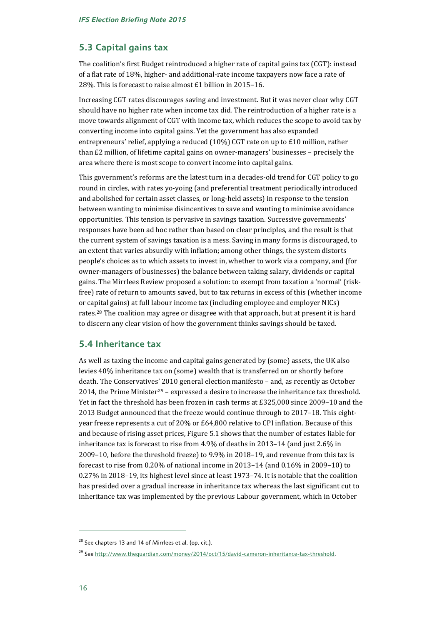### **5.3 Capital gains tax**

The coalition's first Budget reintroduced a higher rate of capital gains tax (CGT): instead of a flat rate of 18%, higher- and additional-rate income taxpayers now face a rate of 28%. This is forecast to raise almost £1 billion in 2015–16.

Increasing CGT rates discourages saving and investment. But it was never clear why CGT should have no higher rate when income tax did. The reintroduction of a higher rate is a move towards alignment of CGT with income tax, which reduces the scope to avoid tax by converting income into capital gains. Yet the government has also expanded entrepreneurs' relief, applying a reduced (10%) CGT rate on up to £10 million, rather than £2 million, of lifetime capital gains on owner-managers' businesses – precisely the area where there is most scope to convert income into capital gains.

This government's reforms are the latest turn in a decades-old trend for CGT policy to go round in circles, with rates yo-yoing (and preferential treatment periodically introduced and abolished for certain asset classes, or long-held assets) in response to the tension between wanting to minimise disincentives to save and wanting to minimise avoidance opportunities. This tension is pervasive in savings taxation. Successive governments' responses have been ad hoc rather than based on clear principles, and the result is that the current system of savings taxation is a mess. Saving in many forms is discouraged, to an extent that varies absurdly with inflation; among other things, the system distorts people's choices as to which assets to invest in, whether to work via a company, and (for owner-managers of businesses) the balance between taking salary, dividends or capital gains. The Mirrlees Review proposed a solution: to exempt from taxation a 'normal' (riskfree) rate of return to amounts saved, but to tax returns in excess of this (whether income or capital gains) at full labour income tax (including employee and employer NICs) rates.[28](#page-16-0) The coalition may agree or disagree with that approach, but at present it is hard to discern any clear vision of how the government thinks savings should be taxed.

### **5.4 Inheritance tax**

As well as taxing the income and capital gains generated by (some) assets, the UK also levies 40% inheritance tax on (some) wealth that is transferred on or shortly before death. The Conservatives' 2010 general election manifesto – and, as recently as October 2014, the Prime Minister<sup>[29](#page-16-1)</sup> – expressed a desire to increase the inheritance tax threshold. Yet in fact the threshold has been frozen in cash terms at £325,000 since 2009–10 and the 2013 Budget announced that the freeze would continue through to 2017–18. This eightyear freeze represents a cut of 20% or £64,800 relative to CPI inflation. Because of this and because of rising asset prices, Figure 5.1 shows that the number of estates liable for inheritance tax is forecast to rise from 4.9% of deaths in 2013–14 (and just 2.6% in 2009–10, before the threshold freeze) to 9.9% in 2018–19, and revenue from this tax is forecast to rise from 0.20% of national income in 2013–14 (and 0.16% in 2009–10) to 0.27% in 2018–19, its highest level since at least 1973–74. It is notable that the coalition has presided over a gradual increase in inheritance tax whereas the last significant cut to inheritance tax was implemented by the previous Labour government, which in October

<span id="page-16-0"></span> $28$  See chapters 13 and 14 of Mirrlees et al. (op. cit.).

<span id="page-16-1"></span><sup>&</sup>lt;sup>29</sup> See http://www.thequardian.com/money/2014/oct/15/david-cameron-inheritance-tax-threshold.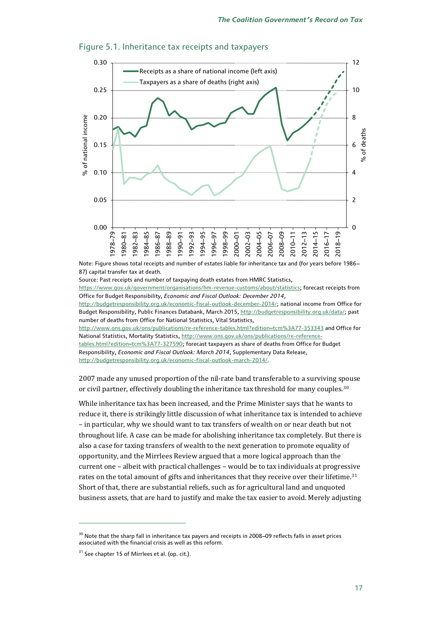

#### Figure 5.1. Inheritance tax receipts and taxpayers

Note: Figure shows total receipts and number of estates liable for inheritance tax and (for years before 1986-87) capital transfer tax at death.

Source: Past receipts and number of taxpaying death estates from HMRC Statistics,

[https://www.gov.uk/government/organisations/hm-revenue-customs/about/statistics;](https://www.gov.uk/government/organisations/hm-revenue-customs/about/statistics) forecast receipts from Office for Budget Responsibility, *Economic and Fiscal Outlook: December 2014*,

[http://budgetresponsibility.org.uk/economic-fiscal-outlook-december-2014/;](http://budgetresponsibility.org.uk/economic-fiscal-outlook-december-2014/) national income from Office for Budget Responsibility, Public Finances Databank, March 2015[, http://budgetresponsibility.org.uk/data/;](http://budgetresponsibility.org.uk/data/) past number of deaths from Office for National Statistics, Vital Statistics,

<http://www.ons.gov.uk/ons/publications/re-reference-tables.html?edition=tcm%3A77-353343> and Office for National Statistics, Mortality Statistics, [http://www.ons.gov.uk/ons/publications/re-reference](http://www.ons.gov.uk/ons/publications/re-reference-tables.html?edition=tcm%3A77-327590)[tables.html?edition=tcm%3A77-327590;](http://www.ons.gov.uk/ons/publications/re-reference-tables.html?edition=tcm%3A77-327590) forecast taxpayers as share of deaths from Office for Budget

Responsibility, *Economic and Fiscal Outlook: March 2014*, Supplementary Data Release,

[http://budgetresponsibility.org.uk/economic-fiscal-outlook-march-2014/.](http://budgetresponsibility.org.uk/economic-fiscal-outlook-march-2014/)

2007 made any unused proportion of the nil-rate band transferable to a surviving spouse or civil partner, effectively doubling the inheritance tax threshold for many couples.[30](#page-17-0)

While inheritance tax has been increased, and the Prime Minister says that he wants to reduce it, there is strikingly little discussion of what inheritance tax is intended to achieve – in particular, why we should want to tax transfers of wealth on or near death but not throughout life. A case can be made for abolishing inheritance tax completely. But there is also a case for taxing transfers of wealth to the next generation to promote equality of opportunity, and the Mirrlees Review argued that a more logical approach than the current one – albeit with practical challenges – would be to tax individuals at progressive rates on the total amount of gifts and inheritances that they receive over their lifetime.<sup>[31](#page-17-1)</sup> Short of that, there are substantial reliefs, such as for agricultural land and unquoted business assets, that are hard to justify and make the tax easier to avoid. Merely adjusting

<span id="page-17-0"></span> $30$  Note that the sharp fall in inheritance tax payers and receipts in 2008-09 reflects falls in asset prices associated with the financial crisis as well as this reform.

<span id="page-17-1"></span> $31$  See chapter 15 of Mirrlees et al. (op. cit.).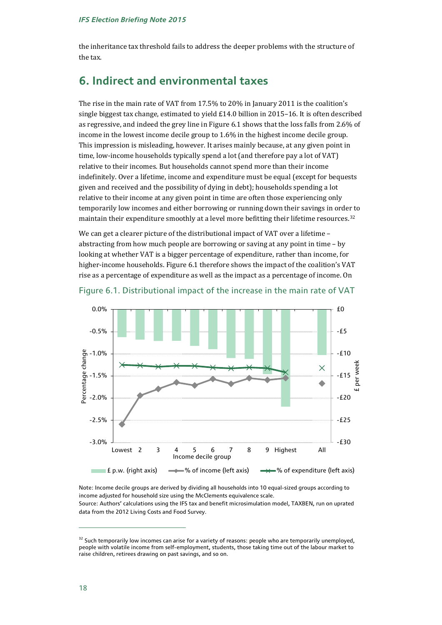the inheritance tax threshold fails to address the deeper problems with the structure of the tax.

### **6. Indirect and environmental taxes**

The rise in the main rate of VAT from 17.5% to 20% in January 2011 is the coalition's single biggest tax change, estimated to yield £14.0 billion in 2015–16. It is often described as regressive, and indeed the grey line in Figure 6.1 shows that the loss falls from 2.6% of income in the lowest income decile group to 1.6% in the highest income decile group. This impression is misleading, however. It arises mainly because, at any given point in time, low-income households typically spend a lot (and therefore pay a lot of VAT) relative to their incomes. But households cannot spend more than their income indefinitely. Over a lifetime, income and expenditure must be equal (except for bequests given and received and the possibility of dying in debt); households spending a lot relative to their income at any given point in time are often those experiencing only temporarily low incomes and either borrowing or running down their savings in order to maintain their expenditure smoothly at a level more befitting their lifetime resources.[32](#page-18-0)

We can get a clearer picture of the distributional impact of VAT over a lifetime – abstracting from how much people are borrowing or saving at any point in time – by looking at whether VAT is a bigger percentage of expenditure, rather than income, for higher-income households. Figure 6.1 therefore shows the impact of the coalition's VAT rise as a percentage of expenditure as well as the impact as a percentage of income. On



#### Figure 6.1. Distributional impact of the increase in the main rate of VAT

Note: Income decile groups are derived by dividing all households into 10 equal-sized groups according to income adjusted for household size using the McClements equivalence scale. Source: Authors' calculations using the IFS tax and benefit microsimulation model, TAXBEN, run on uprated

data from the 2012 Living Costs and Food Survey.

<span id="page-18-0"></span><sup>&</sup>lt;sup>32</sup> Such temporarily low incomes can arise for a variety of reasons: people who are temporarily unemployed, people with volatile income from self-employment, students, those taking time out of the labour market to raise children, retirees drawing on past savings, and so on.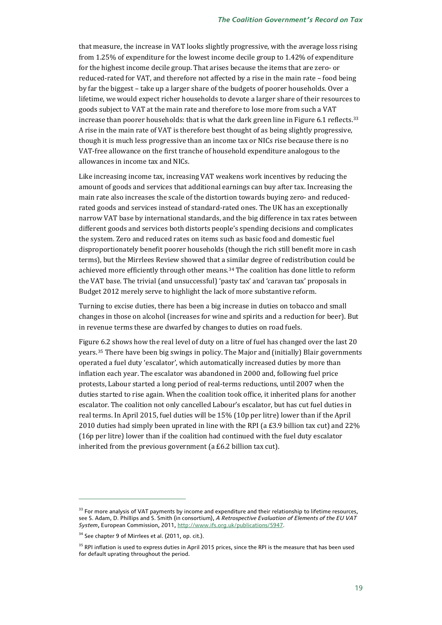that measure, the increase in VAT looks slightly progressive, with the average loss rising from 1.25% of expenditure for the lowest income decile group to 1.42% of expenditure for the highest income decile group. That arises because the items that are zero- or reduced-rated for VAT, and therefore not affected by a rise in the main rate – food being by far the biggest – take up a larger share of the budgets of poorer households. Over a lifetime, we would expect richer households to devote a larger share of their resources to goods subject to VAT at the main rate and therefore to lose more from such a VAT increase than poorer households: that is what the dark green line in Figure 6.1 reflects. $^{\rm 33}$  $^{\rm 33}$  $^{\rm 33}$ A rise in the main rate of VAT is therefore best thought of as being slightly progressive, though it is much less progressive than an income tax or NICs rise because there is no VAT-free allowance on the first tranche of household expenditure analogous to the allowances in income tax and NICs.

Like increasing income tax, increasing VAT weakens work incentives by reducing the amount of goods and services that additional earnings can buy after tax. Increasing the main rate also increases the scale of the distortion towards buying zero- and reducedrated goods and services instead of standard-rated ones. The UK has an exceptionally narrow VAT base by international standards, and the big difference in tax rates between different goods and services both distorts people's spending decisions and complicates the system. Zero and reduced rates on items such as basic food and domestic fuel disproportionately benefit poorer households (though the rich still benefit more in cash terms), but the Mirrlees Review showed that a similar degree of redistribution could be achieved more efficiently through other means.[34](#page-19-1) The coalition has done little to reform the VAT base. The trivial (and unsuccessful) 'pasty tax' and 'caravan tax' proposals in Budget 2012 merely serve to highlight the lack of more substantive reform.

Turning to excise duties, there has been a big increase in duties on tobacco and small changes in those on alcohol (increases for wine and spirits and a reduction for beer). But in revenue terms these are dwarfed by changes to duties on road fuels.

Figure 6.2 shows how the real level of duty on a litre of fuel has changed over the last 20 years.[35](#page-19-2) There have been big swings in policy. The Major and (initially) Blair governments operated a fuel duty 'escalator', which automatically increased duties by more than inflation each year. The escalator was abandoned in 2000 and, following fuel price protests, Labour started a long period of real-terms reductions, until 2007 when the duties started to rise again. When the coalition took office, it inherited plans for another escalator. The coalition not only cancelled Labour's escalator, but has cut fuel duties in real terms. In April 2015, fuel duties will be 15% (10p per litre) lower than if the April 2010 duties had simply been uprated in line with the RPI (a £3.9 billion tax cut) and 22% (16p per litre) lower than if the coalition had continued with the fuel duty escalator inherited from the previous government (a £6.2 billion tax cut).

<span id="page-19-0"></span><sup>&</sup>lt;sup>33</sup> For more analysis of VAT payments by income and expenditure and their relationship to lifetime resources, see S. Adam, D. Phillips and S. Smith (in consortium), *A Retrospective Evaluation of Elements of the EU VAT System*, European Commission, 2011, [http://www.ifs.org.uk/publications/5947.](http://www.ifs.org.uk/publications/5947)

<span id="page-19-1"></span><sup>&</sup>lt;sup>34</sup> See chapter 9 of Mirrlees et al. (2011, op. cit.).

<span id="page-19-2"></span><sup>&</sup>lt;sup>35</sup> RPI inflation is used to express duties in April 2015 prices, since the RPI is the measure that has been used for default uprating throughout the period.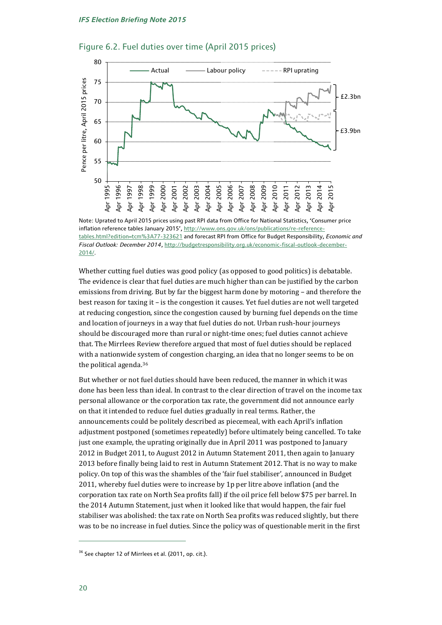

#### Figure 6.2. Fuel duties over time (April 2015 prices)

Whether cutting fuel duties was good policy (as opposed to good politics) is debatable. The evidence is clear that fuel duties are much higher than can be justified by the carbon emissions from driving. But by far the biggest harm done by motoring – and therefore the best reason for taxing it – is the congestion it causes. Yet fuel duties are not well targeted at reducing congestion, since the congestion caused by burning fuel depends on the time and location of journeys in a way that fuel duties do not. Urban rush-hour journeys should be discouraged more than rural or night-time ones; fuel duties cannot achieve that. The Mirrlees Review therefore argued that most of fuel duties should be replaced with a nationwide system of congestion charging, an idea that no longer seems to be on the political agenda.[36](#page-20-0)

But whether or not fuel duties should have been reduced, the manner in which it was done has been less than ideal. In contrast to the clear direction of travel on the income tax personal allowance or the corporation tax rate, the government did not announce early on that it intended to reduce fuel duties gradually in real terms. Rather, the announcements could be politely described as piecemeal, with each April's inflation adjustment postponed (sometimes repeatedly) before ultimately being cancelled. To take just one example, the uprating originally due in April 2011 was postponed to January 2012 in Budget 2011, to August 2012 in Autumn Statement 2011, then again to January 2013 before finally being laid to rest in Autumn Statement 2012. That is no way to make policy. On top of this was the shambles of the 'fair fuel stabiliser', announced in Budget 2011, whereby fuel duties were to increase by 1p per litre above inflation (and the corporation tax rate on North Sea profits fall) if the oil price fell below \$75 per barrel. In the 2014 Autumn Statement, just when it looked like that would happen, the fair fuel stabiliser was abolished: the tax rate on North Sea profits was reduced slightly, but there was to be no increase in fuel duties. Since the policy was of questionable merit in the first

Note: Uprated to April 2015 prices using past RPI data from Office for National Statistics, 'Consumer price inflation reference tables January 2015', [http://www.ons.gov.uk/ons/publications/re-reference](http://www.ons.gov.uk/ons/publications/re-reference-tables.html?edition=tcm%3A77-323621)[tables.html?edition=tcm%3A77-323621](http://www.ons.gov.uk/ons/publications/re-reference-tables.html?edition=tcm%3A77-323621) and forecast RPI from Office for Budget Responsibility, *Economic and Fiscal Outlook: December 2014*, [http://budgetresponsibility.org.uk/economic-fiscal-outlook-december-](http://budgetresponsibility.org.uk/economic-fiscal-outlook-december-2014/)[2014/.](http://budgetresponsibility.org.uk/economic-fiscal-outlook-december-2014/)

<span id="page-20-0"></span><sup>&</sup>lt;sup>36</sup> See chapter 12 of Mirrlees et al. (2011, op. cit.).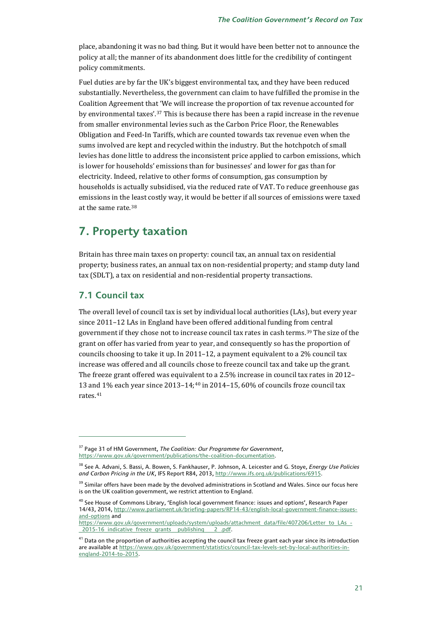place, abandoning it was no bad thing. But it would have been better not to announce the policy at all; the manner of its abandonment does little for the credibility of contingent policy commitments.

Fuel duties are by far the UK's biggest environmental tax, and they have been reduced substantially. Nevertheless, the government can claim to have fulfilled the promise in the Coalition Agreement tha[t 'W](#page-21-0)e will increase the proportion of tax revenue accounted for by environmental taxes'.37 This is because there has been a rapid increase in the revenue from smaller environmental levies such as the Carbon Price Floor, the Renewables Obligation and Feed-In Tariffs, which are counted towards tax revenue even when the sums involved are kept and recycled within the industry. But the hotchpotch of small levies has done little to address the inconsistent price applied to carbon emissions, which is lower for households' emissions than for businesses' and lower for gas than for electricity. Indeed, relative to other forms of consumption, gas consumption by households is actually subsidised, via the reduced rate of VAT. To reduce greenhouse gas emissions in the least costly way, it would be better if all sources of emissions were taxed at the same rate.<sup>[38](#page-21-1)</sup>

# **7. Property taxation**

Britain has three main taxes on property: council tax, an annual tax on residential property; business rates, an annual tax on non-residential property; and stamp duty land tax (SDLT), a tax on residential and non-residential property transactions.

### **7.1 Council tax**

i

The overall level of council tax is set by individual local authorities (LAs), but every year since 2011–12 LAs in England have been offered additional funding from central government if they chose not to increase council tax rates in cash terms.[39](#page-21-2) The size of the grant on offer has varied from year to year, and consequently so has the proportion of councils choosing to take it up. In 2011–12, a payment equivalent to a 2% council tax increase was offered and all councils chose to freeze council tax and take up the grant. The freeze grant offered was equivalent to a 2.5% increase in council tax rates in 2012– 13 a[nd 1](#page-21-4)% each year since 2013–14;[40](#page-21-3) in 2014–15, 60% of councils froze council tax rates.41

<span id="page-21-0"></span><sup>37</sup> Page 31 of HM Government, *The Coalition: Our Programme for Government*, [https://www.gov.uk/government/publications/the-coalition-documentation.](https://www.gov.uk/government/publications/the-coalition-documentation)

<span id="page-21-1"></span><sup>38</sup> See A. Advani, S. Bassi, A. Bowen, S. Fankhauser, P. Johnson, A. Leicester and G. Stoye, *Energy Use Policies and Carbon Pricing in the UK*, IFS Report R84, 2013[, http://www.ifs.org.uk/publications/6915.](http://www.ifs.org.uk/publications/6915)

<span id="page-21-2"></span><sup>&</sup>lt;sup>39</sup> Similar offers have been made by the devolved administrations in Scotland and Wales. Since our focus here is on the UK coalition government, we restrict attention to England.

<span id="page-21-3"></span><sup>&</sup>lt;sup>40</sup> See House of Commons Library, 'English local government finance: issues and options', Research Paper 14/43, 2014[, http://www.parliament.uk/briefing-papers/RP14-43/english-local-government-finance-issues](http://www.parliament.uk/briefing-papers/RP14-43/english-local-government-finance-issues-and-options)[and-options](http://www.parliament.uk/briefing-papers/RP14-43/english-local-government-finance-issues-and-options) and

[https://www.gov.uk/government/uploads/system/uploads/attachment\\_data/file/407206/Letter\\_to\\_LAs\\_-](https://www.gov.uk/government/uploads/system/uploads/attachment_data/file/407206/Letter_to_LAs_-_2015-16_indicative_freeze_grants__publishing___2_.pdf) [\\_2015-16\\_indicative\\_freeze\\_grants\\_\\_publishing\\_\\_\\_2\\_.pdf.](https://www.gov.uk/government/uploads/system/uploads/attachment_data/file/407206/Letter_to_LAs_-_2015-16_indicative_freeze_grants__publishing___2_.pdf)

<span id="page-21-4"></span> $41$  Data on the proportion of authorities accepting the council tax freeze grant each year since its introduction are available a[t https://www.gov.uk/government/statistics/council-tax-levels-set-by-local-authorities-in](https://www.gov.uk/government/statistics/council-tax-levels-set-by-local-authorities-in-england-2014-to-2015)[england-2014-to-2015.](https://www.gov.uk/government/statistics/council-tax-levels-set-by-local-authorities-in-england-2014-to-2015)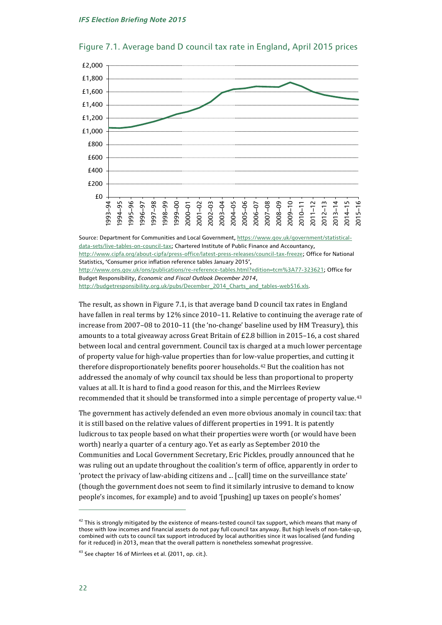

#### Figure 7.1. Average band D council tax rate in England, April 2015 prices

Source: Department for Communities and Local Government, [https://www.gov.uk/government/statistical](https://www.gov.uk/government/statistical-data-sets/live-tables-on-council-tax)[data-sets/live-tables-on-council-tax;](https://www.gov.uk/government/statistical-data-sets/live-tables-on-council-tax) Chartered Institute of Public Finance and Accountancy, [http://www.cipfa.org/about-cipfa/press-office/latest-press-releases/council-tax-freeze;](http://www.cipfa.org/about-cipfa/press-office/latest-press-releases/council-tax-freeze) Office for National Statistics, 'Consumer price inflation reference tables January 2015', [http://www.ons.gov.uk/ons/publications/re-reference-tables.html?edition=tcm%3A77-323621;](http://www.ons.gov.uk/ons/publications/re-reference-tables.html?edition=tcm%3A77-323621) Office for Budget Responsibility, *Economic and Fiscal Outlook December 2014*,

[http://budgetresponsibility.org.uk/pubs/December\\_2014\\_Charts\\_and\\_tables-web516.xls.](http://budgetresponsibility.org.uk/pubs/December_2014_Charts_and_tables-web516.xls)

The result, as shown in Figure 7.1, is that average band D council tax rates in England have fallen in real terms by 12% since 2010–11. Relative to continuing the average rate of increase from 2007–08 to 2010–11 (the 'no-change' baseline used by HM Treasury), this amounts to a total giveaway across Great Britain of £2.8 billion in 2015–16, a cost shared between local and central government. Council tax is charged at a much lower percentage of property value for high-value properties than for low-value properties, and cutting it therefore disproportionately benefits poorer households.<sup>[42](#page-22-0)</sup> But the coalition has not addressed the anomaly of why council tax should be less than proportional to property values at all. It is hard to find a good reason for this, and the Mirrlees Review recommended that it should be transformed into a simple percentage of property value.[43](#page-22-1)

The government has actively defended an even more obvious anomaly in council tax: that it is still based on the relative values of different properties in 1991. It is patently ludicrous to tax people based on what their properties were worth (or would have been worth) nearly a quarter of a century ago. Yet as early as September 2010 the Communities and Local Government Secretary, Eric Pickles, proudly announced that he was ruling out an update throughout the coalition's term of office, apparently in order to 'protect the privacy of law-abiding citizens and ... [call] time on the surveillance state' (though the government does not seem to find it similarly intrusive to demand to know people's incomes, for example) and to avoid '[pushing] up taxes on people's homes'

<span id="page-22-0"></span> $42$  This is strongly mitigated by the existence of means-tested council tax support, which means that many of those with low incomes and financial assets do not pay full council tax anyway. But high levels of non-take-up, combined with cuts to council tax support introduced by local authorities since it was localised (and funding for it reduced) in 2013, mean that the overall pattern is nonetheless somewhat progressive.

<span id="page-22-1"></span><sup>43</sup> See chapter 16 of Mirrlees et al. (2011, op. cit.).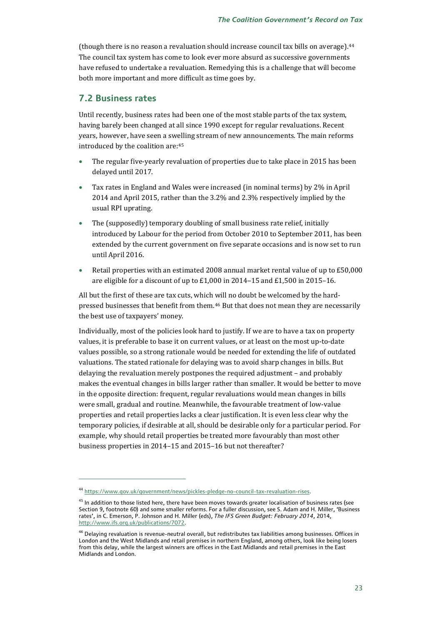(though there is no reason a revaluation should increase council tax bills on average).[44](#page-23-0) The council tax system has come to look ever more absurd as successive governments have refused to undertake a revaluation. Remedying this is a challenge that will become both more important and more difficult as time goes by.

#### **7.2 Business rates**

j

Until recently, business rates had been one of the most stable parts of the tax system, having barely been changed at all since 1990 except for regular revaluations. Recent years, however, have seen a swelling stream of new announcements. The main reforms introduced by the coalition are:[45](#page-23-1)

- The regular five-yearly revaluation of properties due to take place in 2015 has been delayed until 2017.
- Tax rates in England and Wales were increased (in nominal terms) by 2% in April 2014 and April 2015, rather than the 3.2% and 2.3% respectively implied by the usual RPI uprating.
- The (supposedly) temporary doubling of small business rate relief, initially introduced by Labour for the period from October 2010 to September 2011, has been extended by the current government on five separate occasions and is now set to run until April 2016.
- Retail properties with an estimated 2008 annual market rental value of up to £50,000 are eligible for a discount of up to £1,000 in 2014–15 and £1,500 in 2015–16.

All but the first of these are tax cuts, which will no doubt be welcomed by the hardpressed businesses that benefit from them.[46](#page-23-2) But that does not mean they are necessarily the best use of taxpayers' money.

Individually, most of the policies look hard to justify. If we are to have a tax on property values, it is preferable to base it on current values, or at least on the most up-to-date values possible, so a strong rationale would be needed for extending the life of outdated valuations. The stated rationale for delaying was to avoid sharp changes in bills. But delaying the revaluation merely postpones the required adjustment – and probably makes the eventual changes in bills larger rather than smaller. It would be better to move in the opposite direction: frequent, regular revaluations would mean changes in bills were small, gradual and routine. Meanwhile, the favourable treatment of low-value properties and retail properties lacks a clear justification. It is even less clear why the temporary policies, if desirable at all, should be desirable only for a particular period. For example, why should retail properties be treated more favourably than most other business properties in 2014–15 and 2015–16 but not thereafter?

<span id="page-23-0"></span><sup>44</sup> [https://www.gov.uk/government/news/pickles-pledge-no-council-tax-revaluation-rises.](https://www.gov.uk/government/news/pickles-pledge-no-council-tax-revaluation-rises)

<span id="page-23-1"></span><sup>&</sup>lt;sup>45</sup> In addition to those listed here, there have been moves towards greater localisation of business rates (see Section 9, footnot[e 60\)](#page-28-0) and some smaller reforms. For a fuller discussion, see S. Adam and H. Miller, 'Business rates', in C. Emerson, P. Johnson and H. Miller (eds), *The IFS Green Budget: February 2014*, 2014, [http://www.ifs.org.uk/publications/7072.](http://www.ifs.org.uk/publications/7072)

<span id="page-23-2"></span><sup>46</sup> Delaying revaluation is revenue-neutral overall, but redistributes tax liabilities among businesses. Offices in London and the West Midlands and retail premises in northern England, among others, look like being losers from this delay, while the largest winners are offices in the East Midlands and retail premises in the East Midlands and London.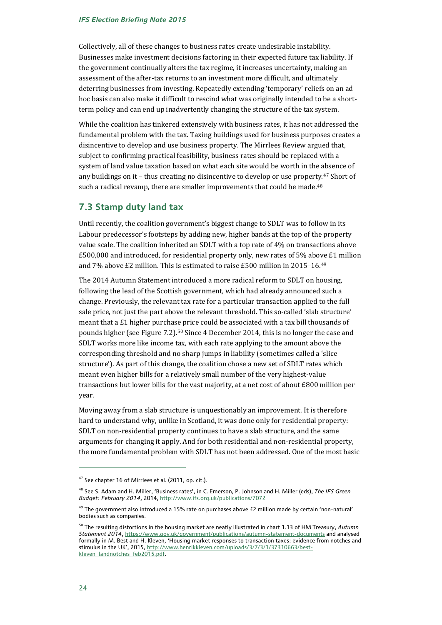Collectively, all of these changes to business rates create undesirable instability. Businesses make investment decisions factoring in their expected future tax liability. If the government continually alters the tax regime, it increases uncertainty, making an assessment of the after-tax returns to an investment more difficult, and ultimately deterring businesses from investing. Repeatedly extending 'temporary' reliefs on an ad hoc basis can also make it difficult to rescind what was originally intended to be a shortterm policy and can end up inadvertently changing the structure of the tax system.

While the coalition has tinkered extensively with business rates, it has not addressed the fundamental problem with the tax. Taxing buildings used for business purposes creates a disincentive to develop and use business property. The Mirrlees Review argued that, subject to confirming practical feasibility, business rates should be replaced with a system of land value taxation based on what each site would be worth in the absence of any buildings on it – thus creating no disincentive to develop or use proper[ty.](#page-24-1)[47](#page-24-0) Short of such a radical revamp, there are smaller improvements that could be made.<sup>48</sup>

### **7.3 Stamp duty land tax**

Until recently, the coalition government's biggest change to SDLT was to follow in its Labour predecessor's footsteps by adding new, higher bands at the top of the property value scale. The coalition inherited an SDLT with a top rate of 4% on transactions above £500,000 and introduced, for residential property only, new rates of 5% above £1 million and 7% above £2 million. This is estimated to raise £500 million in 2015–16.[49](#page-24-2)

The 2014 Autumn Statement introduced a more radical reform to SDLT on housing, following the lead of the Scottish government, which had already announced such a change. Previously, the relevant tax rate for a particular transaction applied to the full sale price, not just the part above the relevant threshold. This so-called 'slab structure' meant that a £1 higher purchase price could be associated with a tax bill thousands of pounds higher (see Figure 7.2).[50](#page-24-3) Since 4 December 2014, this is no longer the case and SDLT works more like income tax, with each rate applying to the amount above the corresponding threshold and no sharp jumps in liability (sometimes called a 'slice structure'). As part of this change, the coalition chose a new set of SDLT rates which meant even higher bills for a relatively small number of the very highest-value transactions but lower bills for the vast majority, at a net cost of about £800 million per year.

Moving away from a slab structure is unquestionably an improvement. It is therefore hard to understand why, unlike in Scotland, it was done only for residential property: SDLT on non-residential property continues to have a slab structure, and the same arguments for changing it apply. And for both residential and non-residential property, the more fundamental problem with SDLT has not been addressed. One of the most basic

<span id="page-24-0"></span><sup>&</sup>lt;sup>47</sup> See chapter 16 of Mirrlees et al. (2011, op. cit.).

<span id="page-24-1"></span><sup>48</sup> See S. Adam and H. Miller, 'Business rates', in C. Emerson, P. Johnson and H. Miller (eds), *The IFS Green Budget: February 2014*, 2014[, http://www.ifs.org.uk/publications/7072](http://www.ifs.org.uk/publications/7072)

<span id="page-24-2"></span> $49$  The government also introduced a 15% rate on purchases above £2 million made by certain 'non-natural' bodies such as companies.

<span id="page-24-3"></span><sup>50</sup> The resulting distortions in the housing market are neatly illustrated in chart 1.13 of HM Treasury, *Autumn Statement 2014*[, https://www.gov.uk/government/publications/autumn-statement-documents](https://www.gov.uk/government/publications/autumn-statement-documents) and analysed formally in M. Best and H. Kleven, 'Housing market responses to transaction taxes: evidence from notches and stimulus in the UK', 2015[, http://www.henrikkleven.com/uploads/3/7/3/1/37310663/best](http://www.henrikkleven.com/uploads/3/7/3/1/37310663/best-kleven_landnotches_feb2015.pdf)[kleven\\_landnotches\\_feb2015.pdf.](http://www.henrikkleven.com/uploads/3/7/3/1/37310663/best-kleven_landnotches_feb2015.pdf)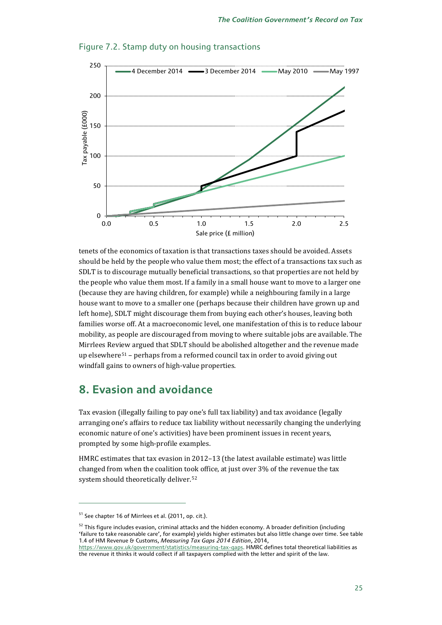

Figure 7.2. Stamp duty on housing transactions

tenets of the economics of taxation is that transactions taxes should be avoided. Assets should be held by the people who value them most; the effect of a transactions tax such as SDLT is to discourage mutually beneficial transactions, so that properties are not held by the people who value them most. If a family in a small house want to move to a larger one (because they are having children, for example) while a neighbouring family in a large house want to move to a smaller one (perhaps because their children have grown up and left home), SDLT might discourage them from buying each other's houses, leaving both families worse off. At a macroeconomic level, one manifestation of this is to reduce labour mobility, as people are discouraged from moving to where suitable jobs are available. The Mirrlees Review argued that SDLT should be abolished altogether and the revenue made up elsewhere<sup>[51](#page-25-0)</sup> – perhaps from a reformed council tax in order to avoid giving out windfall gains to owners of high-value properties.

# **8. Evasion and avoidance**

Tax evasion (illegally failing to pay one's full tax liability) and tax avoidance (legally arranging one's affairs to reduce tax liability without necessarily changing the underlying economic nature of one's activities) have been prominent issues in recent years, prompted by some high-profile examples.

HMRC estimates that tax evasion in 2012–13 (the latest available estimate) was little changed from when the coalition took office, at just over 3% of the revenue the tax system should theoretically deliver.<sup>[52](#page-25-1)</sup>

<span id="page-25-0"></span><sup>&</sup>lt;sup>51</sup> See chapter 16 of Mirrlees et al. (2011, op. cit.).

<span id="page-25-1"></span> $52$  This figure includes evasion, criminal attacks and the hidden economy. A broader definition (including 'failure to take reasonable care', for example) yields higher estimates but also little change over time. See table 1.4 of HM Revenue & Customs, *Measuring Tax Gaps 2014 Edition*, 2014,

[https://www.gov.uk/government/statistics/measuring-tax-gaps.](https://www.gov.uk/government/statistics/measuring-tax-gaps) HMRC defines total theoretical liabilities as the revenue it thinks it would collect if all taxpayers complied with the letter and spirit of the law.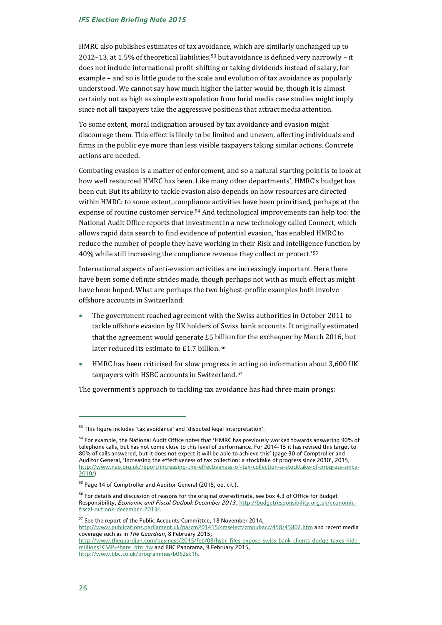HMRC also publishes estimates of tax avoidance, which are similarly unchanged up to 2012–13, at 1.5% of theoretical liabilities,[53](#page-26-0) but avoidance is defined very narrowly – it does not include international profit-shifting or taking dividends instead of salary, for example – and so is little guide to the scale and evolution of tax avoidance as popularly understood. We cannot say how much higher the latter would be, though it is almost certainly not as high as simple extrapolation from lurid media case studies might imply since not all taxpayers take the aggressive positions that attract media attention.

To some extent, moral indignation aroused by tax avoidance and evasion might discourage them. This effect is likely to be limited and uneven, affecting individuals and firms in the public eye more than less visible taxpayers taking similar actions. Concrete actions are needed.

Combating evasion is a matter of enforcement, and so a natural starting point is to look at how well resourced HMRC has been. Like many other departments', HMRC's budget has been cut. But its ability to tackle evasion also depends on how resources are directed within HMRC: to some extent, compliance activities have been prioritised, perhaps at the expense of routine customer service.[54](#page-26-1) And technological improvements can help too: the National Audit Office reports that investment in a new technology called Connect, which allows rapid data search to find evidence of potential evasion, 'has enabled HMRC to reduce the number of people they have working in their Risk and Intelligence function by 40% while still increasing the compliance revenue they collect or protect.'[55](#page-26-2)

International aspects of anti-evasion activities are increasingly important. Here there have been some definite strides made, though perhaps not with as much effect as might have been hoped. What are perhaps the two highest-profile examples both involve offshore accounts in Switzerland:

- The government reached agreement with the Swiss authorities in October 2011 to tackle offshore evasion by UK holders of Swiss bank accounts. It originally estimated that the agreement would generate £5 billion for the exchequer by March 2016, but later reduced its estimate to £1.7 billion.<sup>[56](#page-26-3)</sup>
- HMRC has been criticised for slow progress in acting on information about 3,600 UK taxpayers with HSBC accounts in Switzerland.[57](#page-26-4)

The government's approach to tackling tax avoidance has had three main prongs:

<span id="page-26-4"></span><sup>57</sup> See the report of the Public Accounts Committee, 18 November 2014,

<http://www.publications.parliament.uk/pa/cm201415/cmselect/cmpubacc/458/45802.htm> and recent media coverage such as in *The Guardian*, 8 February 2015,

[http://www.theguardian.com/business/2015/feb/08/hsbc-files-expose-swiss-bank-clients-dodge-taxes-hide](http://www.theguardian.com/business/2015/feb/08/hsbc-files-expose-swiss-bank-clients-dodge-taxes-hide-millions?CMP=share_btn_tw)[millions?CMP=share\\_btn\\_tw](http://www.theguardian.com/business/2015/feb/08/hsbc-files-expose-swiss-bank-clients-dodge-taxes-hide-millions?CMP=share_btn_tw) and BBC Panorama, 9 February 2015, [http://www.bbc.co.uk/programmes/b052sk1h.](http://www.bbc.co.uk/programmes/b052sk1h) 

<span id="page-26-0"></span><sup>&</sup>lt;sup>53</sup> This figure includes 'tax avoidance' and 'disputed legal interpretation'.

<span id="page-26-1"></span><sup>&</sup>lt;sup>54</sup> For example, the National Audit Office notes that 'HMRC has previously worked towards answering 90% of telephone calls, but has not come close to this level of performance. For 2014-15 it has revised this target to 80% of calls answered, but it does not expect it will be able to achieve this' (page 30 of Comptroller and Auditor General, 'Increasing the effectiveness of tax collection: a stocktake of progress since 2010', 2015, [http://www.nao.org.uk/report/increasing-the-effectiveness-of-tax-collection-a-stocktake-of-progress-since-](http://www.nao.org.uk/report/increasing-the-effectiveness-of-tax-collection-a-stocktake-of-progress-since-2010/)[2010/\)](http://www.nao.org.uk/report/increasing-the-effectiveness-of-tax-collection-a-stocktake-of-progress-since-2010/).

<span id="page-26-2"></span><sup>&</sup>lt;sup>55</sup> Page 14 of Comptroller and Auditor General (2015, op. cit.).

<span id="page-26-3"></span><sup>&</sup>lt;sup>56</sup> For details and discussion of reasons for the original overestimate, see box 4.3 of Office for Budget Responsibility, *Economic and Fiscal Outlook December 2013*[, http://budgetresponsibility.org.uk/economic](http://budgetresponsibility.org.uk/economic-fiscal-outlook-december-2013/)[fiscal-outlook-december-2013/.](http://budgetresponsibility.org.uk/economic-fiscal-outlook-december-2013/)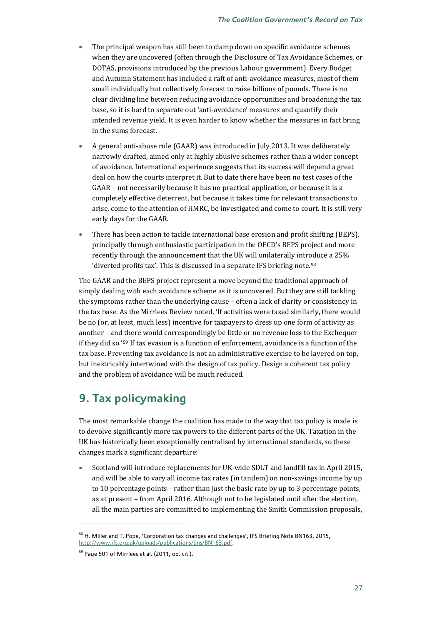- The principal weapon has still been to clamp down on specific avoidance schemes when they are uncovered (often through the Disclosure of Tax Avoidance Schemes, or DOTAS, provisions introduced by the previous Labour government). Every Budget and Autumn Statement has included a raft of anti-avoidance measures, most of them small individually but collectively forecast to raise billions of pounds. There is no clear dividing line between reducing avoidance opportunities and broadening the tax base, so it is hard to separate out 'anti-avoidance' measures and quantify their intended revenue yield. It is even harder to know whether the measures in fact bring in the sums forecast.
- A general anti-abuse rule (GAAR) was introduced in July 2013. It was deliberately narrowly drafted, aimed only at highly abusive schemes rather than a wider concept of avoidance. International experience suggests that its success will depend a great deal on how the courts interpret it. But to date there have been no test cases of the GAAR – not necessarily because it has no practical application, or because it is a completely effective deterrent, but because it takes time for relevant transactions to arise, come to the attention of HMRC, be investigated and come to court. It is still very early days for the GAAR.
- There has been action to tackle international base erosion and profit shifting (BEPS), principally through enthusiastic participation in the OECD's BEPS project and more recently through the announcement that the UK will unilaterally introduce a 25% 'diverted profits tax'. This is discussed in a separate IFS briefing note.[58](#page-27-0)

The GAAR and the BEPS project represent a move beyond the traditional approach of simply dealing with each avoidance scheme as it is uncovered. But they are still tackling the symptoms rather than the underlying cause – often a lack of clarity or consistency in the tax base. As the Mirrlees Review noted, 'If activities were taxed similarly, there would be no (or, at least, much less) incentive for taxpayers to dress up one form of activity as another – and there would correspondingly be little or no revenue loss to the Exchequer if they did so.'[59](#page-27-1) If tax evasion is a function of enforcement, avoidance is a function of the tax base. Preventing tax avoidance is not an administrative exercise to be layered on top, but inextricably intertwined with the design of tax policy. Design a coherent tax policy and the problem of avoidance will be much reduced.

# **9. Tax policymaking**

The most remarkable change the coalition has made to the way that tax policy is made is to devolve significantly more tax powers to the different parts of the UK. Taxation in the UK has historically been exceptionally centralised by international standards, so these changes mark a significant departure:

• Scotland will introduce replacements for UK-wide SDLT and landfill tax in April 2015, and will be able to vary all income tax rates (in tandem) on non-savings income by up to 10 percentage points – rather than just the basic rate by up to 3 percentage points, as at present – from April 2016. Although not to be legislated until after the election, all the main parties are committed to implementing the Smith Commission proposals,

<span id="page-27-0"></span><sup>&</sup>lt;sup>58</sup> H. Miller and T. Pope, 'Corporation tax changes and challenges', IFS Briefing Note BN163, 2015, [http://www.ifs.org.uk/uploads/publications/bns/BN163.pdf.](http://www.ifs.org.uk/uploads/publications/bns/BN163.pdf)

<span id="page-27-1"></span><sup>&</sup>lt;sup>59</sup> Page 501 of Mirrlees et al. (2011, op. cit.).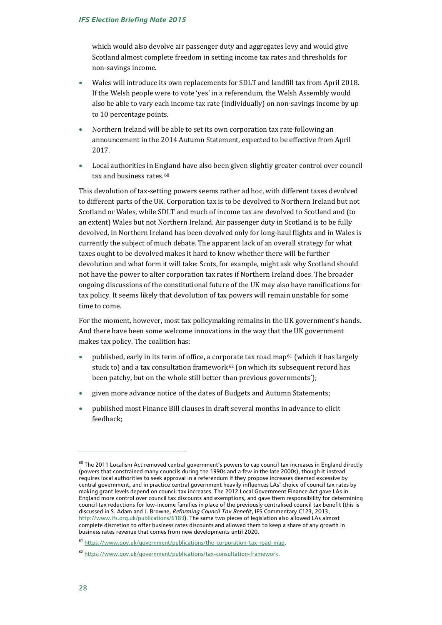which would also devolve air passenger duty and aggregates levy and would give Scotland almost complete freedom in setting income tax rates and thresholds for non-savings income.

- Wales will introduce its own replacements for SDLT and landfill tax from April 2018. If the Welsh people were to vote 'yes' in a referendum, the Welsh Assembly would also be able to vary each income tax rate (individually) on non-savings income by up to 10 percentage points.
- Northern Ireland will be able to set its own corporation tax rate following an announcement in the 2014 Autumn Statement, expected to be effective from April 2017.
- <span id="page-28-0"></span>• Local authorities in England have also been given slightly greater control over council tax and business rates.<sup>[60](#page-28-1)</sup>

This devolution of tax-setting powers seems rather ad hoc, with different taxes devolved to different parts of the UK. Corporation tax is to be devolved to Northern Ireland but not Scotland or Wales, while SDLT and much of income tax are devolved to Scotland and (to an extent) Wales but not Northern Ireland. Air passenger duty in Scotland is to be fully devolved, in Northern Ireland has been devolved only for long-haul flights and in Wales is currently the subject of much debate. The apparent lack of an overall strategy for what taxes ought to be devolved makes it hard to know whether there will be further devolution and what form it will take: Scots, for example, might ask why Scotland should not have the power to alter corporation tax rates if Northern Ireland does. The broader ongoing discussions of the constitutional future of the UK may also have ramifications for tax policy. It seems likely that devolution of tax powers will remain unstable for some time to come.

For the moment, however, most tax policymaking remains in the UK government's hands. And there have been some welcome innovations in the way that the UK government makes tax policy. The coalition has:

- published, early in its term of office, a corp[ora](#page-28-3)te tax road map<sup>[61](#page-28-2)</sup> (which it has largely stuck to) and a tax consultation framework<sup>62</sup> (on which its subsequent record has been patchy, but on the whole still better than previous governments');
- given more advance notice of the dates of Budgets and Autumn Statements;
- published most Finance Bill clauses in draft several months in advance to elicit feedback;

<span id="page-28-1"></span> $60$  The 2011 Localism Act removed central government's powers to cap council tax increases in England directly (powers that constrained many councils during the 1990s and a few in the late 2000s), though it instead requires local authorities to seek approval in a referendum if they propose increases deemed excessive by central government, and in practice central government heavily influences LAs' choice of council tax rates by making grant levels depend on council tax increases. The 2012 Local Government Finance Act gave LAs in England more control over council tax discounts and exemptions, and gave them responsibility for determining council tax reductions for low-income families in place of the previously centralised council tax benefit (this is discussed in S. Adam and J. Browne, *Reforming Council Tax Benefit*, IFS Commentary C123, 2013, [http://www.ifs.org.uk/publications/6183\)](http://www.ifs.org.uk/publications/6183). The same two pieces of legislation also allowed LAs almost complete discretion to offer business rates discounts and allowed them to keep a share of any growth in business rates revenue that comes from new developments until 2020.

<span id="page-28-2"></span><sup>61</sup> [https://www.gov.uk/government/publications/the-corporation-tax-road-map.](https://www.gov.uk/government/publications/the-corporation-tax-road-map) 

<span id="page-28-3"></span><sup>62</sup> [https://www.gov.uk/government/publications/tax-consultation-framework.](https://www.gov.uk/government/publications/tax-consultation-framework)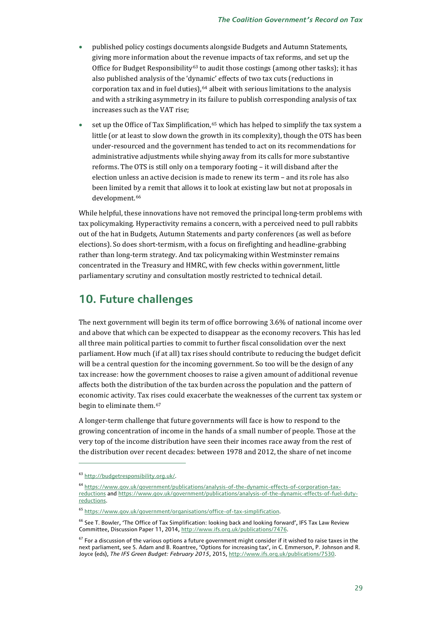- published policy costings documents alongside Budgets and Autumn Statements, giving more information about the revenue impacts of tax reforms, and set up the Office for Budget Responsibility<sup>[63](#page-29-0)</sup> to audit those costings (among other tasks); it has also published analysis of the 'dynamic' effects of two tax cuts (reductions in corporation tax and in fuel duties), $64$  albeit with serious limitations to the analysis and with a striking asymmetry in its failure to publish corresponding analysis of tax increases such as the VAT rise;
- set up the Office of Tax Simplification,<sup>[65](#page-29-2)</sup> which has helped to simplify the tax system a little (or at least to slow down the growth in its complexity), though the OTS has been under-resourced and the government has tended to act on its recommendations for administrative adjustments while shying away from its calls for more substantive reforms. The OTS is still only on a temporary footing – it will disband after the election unless an active decision is made to renew its term – and its role has also been limited by a remit that allows it to look at existing law but not at proposals in development.<sup>[66](#page-29-3)</sup>

While helpful, these innovations have not removed the principal long-term problems with tax policymaking. Hyperactivity remains a concern, with a perceived need to pull rabbits out of the hat in Budgets, Autumn Statements and party conferences (as well as before elections). So does short-termism, with a focus on firefighting and headline-grabbing rather than long-term strategy. And tax policymaking within Westminster remains concentrated in the Treasury and HMRC, with few checks within government, little parliamentary scrutiny and consultation mostly restricted to technical detail.

# **10. Future challenges**

The next government will begin its term of office borrowing 3.6% of national income over and above that which can be expected to disappear as the economy recovers. This has led all three main political parties to commit to further fiscal consolidation over the next parliament. How much (if at all) tax rises should contribute to reducing the budget deficit will be a central question for the incoming government. So too will be the design of any tax increase: how the government chooses to raise a given amount of additional revenue affects both the distribution of the tax burden across the population and the pattern of economic activity. Tax rises could exacerbate the weaknesses of the current tax system or begin to eliminate them.[67](#page-29-4)

A longer-term challenge that future governments will face is how to respond to the growing concentration of income in the hands of a small number of people. Those at the very top of the income distribution have seen their incomes race away from the rest of the distribution over recent decades: between 1978 and 2012, the share of net income

<span id="page-29-0"></span><sup>63</sup> [http://budgetresponsibility.org.uk/.](http://budgetresponsibility.org.uk/) 

<span id="page-29-1"></span><sup>64</sup> [https://www.gov.uk/government/publications/analysis-of-the-dynamic-effects-of-corporation-tax](https://www.gov.uk/government/publications/analysis-of-the-dynamic-effects-of-corporation-tax-reductions)[reductions](https://www.gov.uk/government/publications/analysis-of-the-dynamic-effects-of-corporation-tax-reductions) an[d https://www.gov.uk/government/publications/analysis-of-the-dynamic-effects-of-fuel-duty](https://www.gov.uk/government/publications/analysis-of-the-dynamic-effects-of-fuel-duty-reductions)[reductions.](https://www.gov.uk/government/publications/analysis-of-the-dynamic-effects-of-fuel-duty-reductions) 

<span id="page-29-2"></span><sup>65</sup> [https://www.gov.uk/government/organisations/office-of-tax-simplification.](https://www.gov.uk/government/organisations/office-of-tax-simplification)

<span id="page-29-3"></span><sup>&</sup>lt;sup>66</sup> See T. Bowler, 'The Office of Tax Simplification: looking back and looking forward', IFS Tax Law Review Committee, Discussion Paper 11, 2014[, http://www.ifs.org.uk/publications/7476.](http://www.ifs.org.uk/publications/7476) 

<span id="page-29-4"></span> $67$  For a discussion of the various options a future government might consider if it wished to raise taxes in the next parliament, see S. Adam and B. Roantree, 'Options for increasing tax', in C. Emmerson, P. Johnson and R. Joyce (eds), *The IFS Green Budget: February 2015*, 2015[, http://www.ifs.org.uk/publications/7530.](http://www.ifs.org.uk/publications/7530)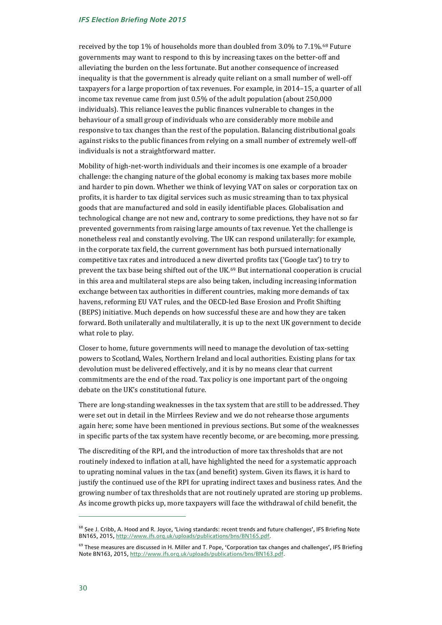received by the top 1% of households more than doubled from 3.0% to 7.1%.<sup>[68](#page-30-0)</sup> Future governments may want to respond to this by increasing taxes on the better-off and alleviating the burden on the less fortunate. But another consequence of increased inequality is that the government is already quite reliant on a small number of well-off taxpayers for a large proportion of tax revenues. For example, in 2014–15, a quarter of all income tax revenue came from just 0.5% of the adult population (about 250,000 individuals). This reliance leaves the public finances vulnerable to changes in the behaviour of a small group of individuals who are considerably more mobile and responsive to tax changes than the rest of the population. Balancing distributional goals against risks to the public finances from relying on a small number of extremely well-off individuals is not a straightforward matter.

Mobility of high-net-worth individuals and their incomes is one example of a broader challenge: the changing nature of the global economy is making tax bases more mobile and harder to pin down. Whether we think of levying VAT on sales or corporation tax on profits, it is harder to tax digital services such as music streaming than to tax physical goods that are manufactured and sold in easily identifiable places. Globalisation and technological change are not new and, contrary to some predictions, they have not so far prevented governments from raising large amounts of tax revenue. Yet the challenge is nonetheless real and constantly evolving. The UK can respond unilaterally: for example, in the corporate tax field, the current government has both pursued internationally competitive tax rates and introduced a new diverted profits tax ('Google tax') to try to prevent the tax base being shifted out of the UK.[69](#page-30-1) But international cooperation is crucial in this area and multilateral steps are also being taken, including increasing information exchange between tax authorities in different countries, making more demands of tax havens, reforming EU VAT rules, and the OECD-led Base Erosion and Profit Shifting (BEPS) initiative. Much depends on how successful these are and how they are taken forward. Both unilaterally and multilaterally, it is up to the next UK government to decide what role to play.

Closer to home, future governments will need to manage the devolution of tax-setting powers to Scotland, Wales, Northern Ireland and local authorities. Existing plans for tax devolution must be delivered effectively, and it is by no means clear that current commitments are the end of the road. Tax policy is one important part of the ongoing debate on the UK's constitutional future.

There are long-standing weaknesses in the tax system that are still to be addressed. They were set out in detail in the Mirrlees Review and we do not rehearse those arguments again here; some have been mentioned in previous sections. But some of the weaknesses in specific parts of the tax system have recently become, or are becoming, more pressing.

The discrediting of the RPI, and the introduction of more tax thresholds that are not routinely indexed to inflation at all, have highlighted the need for a systematic approach to uprating nominal values in the tax (and benefit) system. Given its flaws, it is hard to justify the continued use of the RPI for uprating indirect taxes and business rates. And the growing number of tax thresholds that are not routinely uprated are storing up problems. As income growth picks up, more taxpayers will face the withdrawal of child benefit, the

<span id="page-30-0"></span><sup>&</sup>lt;sup>68</sup> See J. Cribb, A. Hood and R. Joyce, 'Living standards: recent trends and future challenges', IFS Briefing Note BN165, 2015[, http://www.ifs.org.uk/uploads/publications/bns/BN165.pdf.](http://www.ifs.org.uk/uploads/publications/bns/BN165.pdf)

<span id="page-30-1"></span><sup>&</sup>lt;sup>69</sup> These measures are discussed in H. Miller and T. Pope, 'Corporation tax changes and challenges', IFS Briefing Note BN163, 2015[, http://www.ifs.org.uk/uploads/publications/bns/BN163.pdf.](http://www.ifs.org.uk/uploads/publications/bns/BN163.pdf)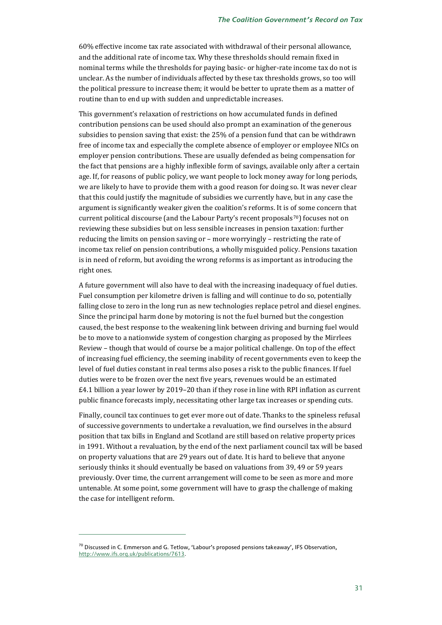60% effective income tax rate associated with withdrawal of their personal allowance, and the additional rate of income tax. Why these thresholds should remain fixed in nominal terms while the thresholds for paying basic- or higher-rate income tax do not is unclear. As the number of individuals affected by these tax thresholds grows, so too will the political pressure to increase them; it would be better to uprate them as a matter of routine than to end up with sudden and unpredictable increases.

This government's relaxation of restrictions on how accumulated funds in defined contribution pensions can be used should also prompt an examination of the generous subsidies to pension saving that exist: the 25% of a pension fund that can be withdrawn free of income tax and especially the complete absence of employer or employee NICs on employer pension contributions. These are usually defended as being compensation for the fact that pensions are a highly inflexible form of savings, available only after a certain age. If, for reasons of public policy, we want people to lock money away for long periods, we are likely to have to provide them with a good reason for doing so. It was never clear that this could justify the magnitude of subsidies we currently have, but in any case the argument is significantly weaker given the coalition's reforms. It is of some concern that current political discourse (and the Labour Party's recent proposals $70$ ) focuses not on reviewing these subsidies but on less sensible increases in pension taxation: further reducing the limits on pension saving or – more worryingly – restricting the rate of income tax relief on pension contributions, a wholly misguided policy. Pensions taxation is in need of reform, but avoiding the wrong reforms is as important as introducing the right ones.

A future government will also have to deal with the increasing inadequacy of fuel duties. Fuel consumption per kilometre driven is falling and will continue to do so, potentially falling close to zero in the long run as new technologies replace petrol and diesel engines. Since the principal harm done by motoring is not the fuel burned but the congestion caused, the best response to the weakening link between driving and burning fuel would be to move to a nationwide system of congestion charging as proposed by the Mirrlees Review – though that would of course be a major political challenge. On top of the effect of increasing fuel efficiency, the seeming inability of recent governments even to keep the level of fuel duties constant in real terms also poses a risk to the public finances. If fuel duties were to be frozen over the next five years, revenues would be an estimated £4.1 billion a year lower by 2019–20 than if they rose in line with RPI inflation as current public finance forecasts imply, necessitating other large tax increases or spending cuts.

Finally, council tax continues to get ever more out of date. Thanks to the spineless refusal of successive governments to undertake a revaluation, we find ourselves in the absurd position that tax bills in England and Scotland are still based on relative property prices in 1991. Without a revaluation, by the end of the next parliament council tax will be based on property valuations that are 29 years out of date. It is hard to believe that anyone seriously thinks it should eventually be based on valuations from 39, 49 or 59 years previously. Over time, the current arrangement will come to be seen as more and more untenable. At some point, some government will have to grasp the challenge of making the case for intelligent reform.

<span id="page-31-0"></span> $^{70}$  Discussed in C. Emmerson and G. Tetlow, 'Labour's proposed pensions takeaway', IFS Observation, [http://www.ifs.org.uk/publications/7613.](http://www.ifs.org.uk/publications/7613)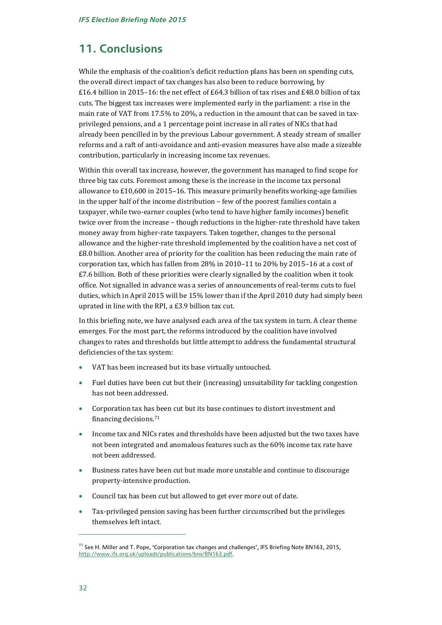# **11. Conclusions**

While the emphasis of the coalition's deficit reduction plans has been on spending cuts, the overall direct impact of tax changes has also been to reduce borrowing, by £16.4 billion in 2015–16: the net effect of £64.3 billion of tax rises and £48.0 billion of tax cuts. The biggest tax increases were implemented early in the parliament: a rise in the main rate of VAT from 17.5% to 20%, a reduction in the amount that can be saved in taxprivileged pensions, and a 1 percentage point increase in all rates of NICs that had already been pencilled in by the previous Labour government. A steady stream of smaller reforms and a raft of anti-avoidance and anti-evasion measures have also made a sizeable contribution, particularly in increasing income tax revenues.

Within this overall tax increase, however, the government has managed to find scope for three big tax cuts. Foremost among these is the increase in the income tax personal allowance to £10,600 in 2015–16. This measure primarily benefits working-age families in the upper half of the income distribution – few of the poorest families contain a taxpayer, while two-earner couples (who tend to have higher family incomes) benefit twice over from the increase – though reductions in the higher-rate threshold have taken money away from higher-rate taxpayers. Taken together, changes to the personal allowance and the higher-rate threshold implemented by the coalition have a net cost of £8.0 billion. Another area of priority for the coalition has been reducing the main rate of corporation tax, which has fallen from 28% in 2010–11 to 20% by 2015–16 at a cost of £7.6 billion. Both of these priorities were clearly signalled by the coalition when it took office. Not signalled in advance was a series of announcements of real-terms cuts to fuel duties, which in April 2015 will be 15% lower than if the April 2010 duty had simply been uprated in line with the RPI, a £3.9 billion tax cut.

In this briefing note, we have analysed each area of the tax system in turn. A clear theme emerges. For the most part, the reforms introduced by the coalition have involved changes to rates and thresholds but little attempt to address the fundamental structural deficiencies of the tax system:

- VAT has been increased but its base virtually untouched.
- Fuel duties have been cut but their (increasing) unsuitability for tackling congestion has not been addressed.
- Corporation tax has been cut but its base continues to distort investment and financing decisions.[71](#page-32-0)
- Income tax and NICs rates and thresholds have been adjusted but the two taxes have not been integrated and anomalous features such as the 60% income tax rate have not been addressed.
- Business rates have been cut but made more unstable and continue to discourage property-intensive production.
- Council tax has been cut but allowed to get ever more out of date.
- Tax-privileged pension saving has been further circumscribed but the privileges themselves left intact.

<span id="page-32-0"></span><sup>&</sup>lt;sup>71</sup> See H. Miller and T. Pope, 'Corporation tax changes and challenges', IFS Briefing Note BN163, 2015, [http://www.ifs.org.uk/uploads/publications/bns/BN163.pdf.](http://www.ifs.org.uk/uploads/publications/bns/BN163.pdf)